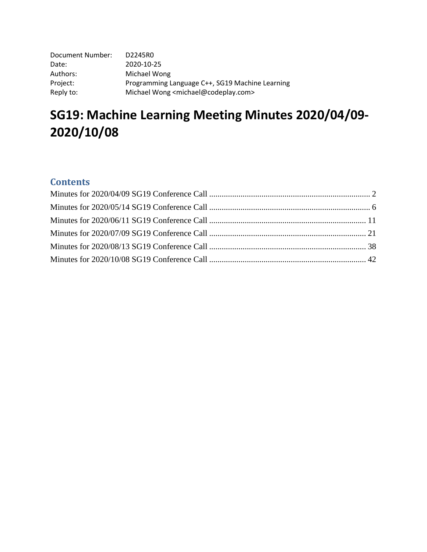| Document Number: | D2245R0                                                    |
|------------------|------------------------------------------------------------|
| Date:            | 2020-10-25                                                 |
| Authors:         | Michael Wong                                               |
| Project:         | Programming Language C++, SG19 Machine Learning            |
| Reply to:        | Michael Wong <michael@codeplay.com></michael@codeplay.com> |

# **SG19: Machine Learning Meeting Minutes 2020/04/09- 2020/10/08**

# **Contents**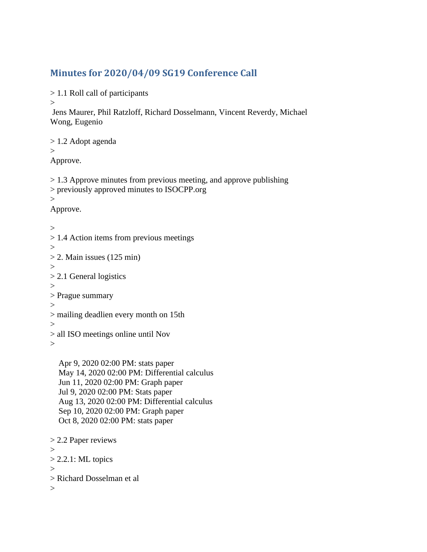# <span id="page-1-0"></span>**Minutes for 2020/04/09 SG19 Conference Call**

> 1.1 Roll call of participants

 $\geq$ 

```
Jens Maurer, Phil Ratzloff, Richard Dosselmann, Vincent Reverdy, Michael 
Wong, Eugenio 
> 1.2 Adopt agenda 
\geqApprove. 
> 1.3 Approve minutes from previous meeting, and approve publishing 
> previously approved minutes to ISOCPP.org 
\geqApprove. 
>> 1.4 Action items from previous meetings 
>> 2. Main issues (125 min)
\geq> 2.1 General logistics 
>> Prague summary 
>> mailing deadlien every month on 15th 
> 
> all ISO meetings online until Nov 
>
```
 Apr 9, 2020 02:00 PM: stats paper May 14, 2020 02:00 PM: Differential calculus Jun 11, 2020 02:00 PM: Graph paper Jul 9, 2020 02:00 PM: Stats paper Aug 13, 2020 02:00 PM: Differential calculus Sep 10, 2020 02:00 PM: Graph paper Oct 8, 2020 02:00 PM: stats paper

```
> 2.2 Paper reviews 
>> 2.2.1: ML topics
> 
> Richard Dosselman et al 
\geq
```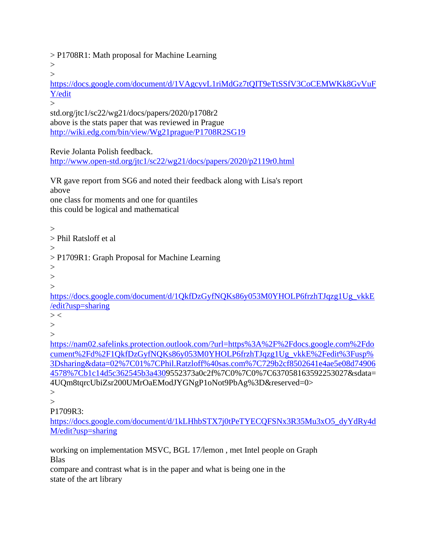> P1708R1: Math proposal for Machine Learning

 $\geq$  $>$ 

[https://docs.google.com/document/d/1VAgcyvL1riMdGz7tQIT9eTtSSfV3CoCEMWKk8GvVuF](https://docs.google.com/document/d/1VAgcyvL1riMdGz7tQIT9eTtSSfV3CoCEMWKk8GvVuFY/edit) [Y/edit](https://docs.google.com/document/d/1VAgcyvL1riMdGz7tQIT9eTtSSfV3CoCEMWKk8GvVuFY/edit)

 $\geq$ 

std.org/jtc1/sc22/wg21/docs/papers/2020/p1708r2 above is the stats paper that was reviewed in Prague <http://wiki.edg.com/bin/view/Wg21prague/P1708R2SG19>

Revie Jolanta Polish feedback.

<http://www.open-std.org/jtc1/sc22/wg21/docs/papers/2020/p2119r0.html>

VR gave report from SG6 and noted their feedback along with Lisa's report above one class for moments and one for quantiles this could be logical and mathematical

 $\geq$ > Phil Ratsloff et al  $>$ > P1709R1: Graph Proposal for Machine Learning > >  $\rightarrow$ [https://docs.google.com/document/d/1QkfDzGyfNQKs86y053M0YHOLP6frzhTJqzg1Ug\\_vkkE](https://docs.google.com/document/d/1QkfDzGyfNQKs86y053M0YHOLP6frzhTJqzg1Ug_vkkE/edit?usp=sharing) [/edit?usp=sharing](https://docs.google.com/document/d/1QkfDzGyfNQKs86y053M0YHOLP6frzhTJqzg1Ug_vkkE/edit?usp=sharing)  $>$  < >  $\geq$ [https://nam02.safelinks.protection.outlook.com/?url=https%3A%2F%2Fdocs.google.com%2Fdo](https://nam02.safelinks.protection.outlook.com/?url=https%3A%2F%2Fdocs.google.com%2Fdocument%2Fd%2F1QkfDzGyfNQKs86y053M0YHOLP6frzhTJqzg1Ug_vkkE%2Fedit%3Fusp%3Dsharing&data=02%7C01%7CPhil.Ratzloff%40sas.com%7C729b2cf8502641e4ae5e08d749064578%7Cb1c14d5c362545b3a430) [cument%2Fd%2F1QkfDzGyfNQKs86y053M0YHOLP6frzhTJqzg1Ug\\_vkkE%2Fedit%3Fusp%](https://nam02.safelinks.protection.outlook.com/?url=https%3A%2F%2Fdocs.google.com%2Fdocument%2Fd%2F1QkfDzGyfNQKs86y053M0YHOLP6frzhTJqzg1Ug_vkkE%2Fedit%3Fusp%3Dsharing&data=02%7C01%7CPhil.Ratzloff%40sas.com%7C729b2cf8502641e4ae5e08d749064578%7Cb1c14d5c362545b3a430) [3Dsharing&data=02%7C01%7CPhil.Ratzloff%40sas.com%7C729b2cf8502641e4ae5e08d74906](https://nam02.safelinks.protection.outlook.com/?url=https%3A%2F%2Fdocs.google.com%2Fdocument%2Fd%2F1QkfDzGyfNQKs86y053M0YHOLP6frzhTJqzg1Ug_vkkE%2Fedit%3Fusp%3Dsharing&data=02%7C01%7CPhil.Ratzloff%40sas.com%7C729b2cf8502641e4ae5e08d749064578%7Cb1c14d5c362545b3a430) [4578%7Cb1c14d5c362545b3a4309](https://nam02.safelinks.protection.outlook.com/?url=https%3A%2F%2Fdocs.google.com%2Fdocument%2Fd%2F1QkfDzGyfNQKs86y053M0YHOLP6frzhTJqzg1Ug_vkkE%2Fedit%3Fusp%3Dsharing&data=02%7C01%7CPhil.Ratzloff%40sas.com%7C729b2cf8502641e4ae5e08d749064578%7Cb1c14d5c362545b3a430)552373a0c2f%7C0%7C0%7C637058163592253027&sdata= 4UQm8tqrcUbiZsr200UMrOaEModJYGNgP1oNot9PbAg%3D&reserved=0>  $\geq$  $\geq$ P1709R3:

[https://docs.google.com/document/d/1kLHhbSTX7j0tPeTYECQFSNx3R35Mu3xO5\\_dyYdRy4d](https://docs.google.com/document/d/1kLHhbSTX7j0tPeTYECQFSNx3R35Mu3xO5_dyYdRy4dM/edit?usp=sharing) [M/edit?usp=sharing](https://docs.google.com/document/d/1kLHhbSTX7j0tPeTYECQFSNx3R35Mu3xO5_dyYdRy4dM/edit?usp=sharing)

working on implementation MSVC, BGL 17/lemon , met Intel people on Graph Blas

compare and contrast what is in the paper and what is being one in the state of the art library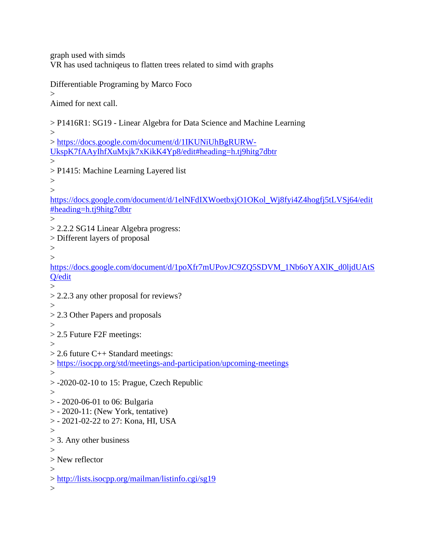graph used with simds VR has used tachniqeus to flatten trees related to simd with graphs

Differentiable Programing by Marco Foco

 $\geq$ 

Aimed for next call.

> P1416R1: SG19 - Linear Algebra for Data Science and Machine Learning  $>$ > [https://docs.google.com/document/d/1IKUNiUhBgRURW-](https://docs.google.com/document/d/1IKUNiUhBgRURW-UkspK7fAAyIhfXuMxjk7xKikK4Yp8/edit#heading=h.tj9hitg7dbtr)[UkspK7fAAyIhfXuMxjk7xKikK4Yp8/edit#heading=h.tj9hitg7dbtr](https://docs.google.com/document/d/1IKUNiUhBgRURW-UkspK7fAAyIhfXuMxjk7xKikK4Yp8/edit#heading=h.tj9hitg7dbtr)  $\geq$ > P1415: Machine Learning Layered list  $>$  $\overline{\phantom{0}}$ [https://docs.google.com/document/d/1elNFdIXWoetbxjO1OKol\\_Wj8fyi4Z4hogfj5tLVSj64/edit](https://docs.google.com/document/d/1elNFdIXWoetbxjO1OKol_Wj8fyi4Z4hogfj5tLVSj64/edit#heading=h.tj9hitg7dbtr) [#heading=h.tj9hitg7dbtr](https://docs.google.com/document/d/1elNFdIXWoetbxjO1OKol_Wj8fyi4Z4hogfj5tLVSj64/edit#heading=h.tj9hitg7dbtr)  $\geq$ > 2.2.2 SG14 Linear Algebra progress: > Different layers of proposal >  $\geq$ [https://docs.google.com/document/d/1poXfr7mUPovJC9ZQ5SDVM\\_1Nb6oYAXlK\\_d0ljdUAtS](https://docs.google.com/document/d/1poXfr7mUPovJC9ZQ5SDVM_1Nb6oYAXlK_d0ljdUAtSQ/edit) [Q/edit](https://docs.google.com/document/d/1poXfr7mUPovJC9ZQ5SDVM_1Nb6oYAXlK_d0ljdUAtSQ/edit)  $\geq$ > 2.2.3 any other proposal for reviews?  $>$ > 2.3 Other Papers and proposals  $>$ > 2.5 Future F2F meetings:  $\geq$ > 2.6 future C++ Standard meetings: ><https://isocpp.org/std/meetings-and-participation/upcoming-meetings> > > -2020-02-10 to 15: Prague, Czech Republic > > - 2020-06-01 to 06: Bulgaria > - 2020-11: (New York, tentative) > - 2021-02-22 to 27: Kona, HI, USA  $\geq$ > 3. Any other business > > New reflector  $\geq$ ><http://lists.isocpp.org/mailman/listinfo.cgi/sg19>  $\geq$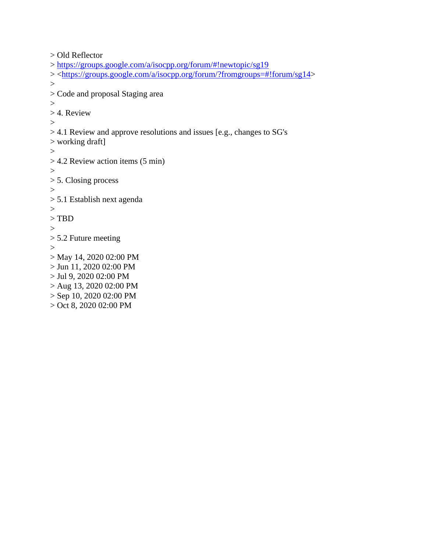```
> Old Reflector 
> https://groups.google.com/a/isocpp.org/forum/#!newtopic/sg19
> <https://groups.google.com/a/isocpp.org/forum/?fromgroups=#!forum/sg14> 
> 
> Code and proposal Staging area 
>> 4. Review 
>> 4.1 Review and approve resolutions and issues [e.g., changes to SG's 
> working draft] 
>> 4.2 Review action items (5 min) 
>> 5. Closing process 
>> 5.1 Establish next agenda 
> 
> TBD 
>> 5.2 Future meeting 
>> May 14, 2020 02:00 PM 
> Jun 11, 2020 02:00 PM 
> Jul 9, 2020 02:00 PM 
> Aug 13, 2020 02:00 PM 
> Sep 10, 2020 02:00 PM 
> Oct 8, 2020 02:00 PM
```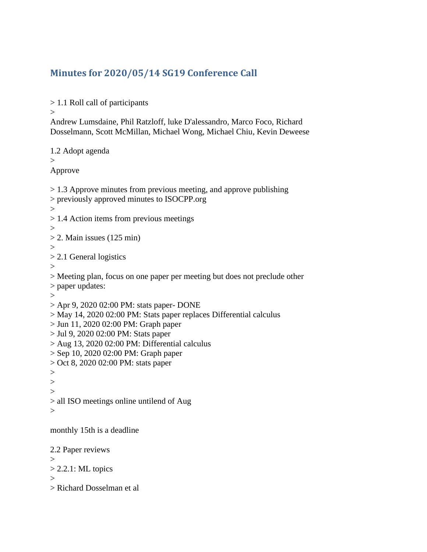# <span id="page-5-0"></span>**Minutes for 2020/05/14 SG19 Conference Call**

> 1.1 Roll call of participants

>

Andrew Lumsdaine, Phil Ratzloff, luke D'alessandro, Marco Foco, Richard Dosselmann, Scott McMillan, Michael Wong, Michael Chiu, Kevin Deweese

1.2 Adopt agenda  $>$ Approve > 1.3 Approve minutes from previous meeting, and approve publishing > previously approved minutes to ISOCPP.org  $>$ > 1.4 Action items from previous meetings  $>$  $> 2$ . Main issues (125 min) > > 2.1 General logistics > > Meeting plan, focus on one paper per meeting but does not preclude other > paper updates:  $>$ > Apr 9, 2020 02:00 PM: stats paper- DONE > May 14, 2020 02:00 PM: Stats paper replaces Differential calculus > Jun 11, 2020 02:00 PM: Graph paper > Jul 9, 2020 02:00 PM: Stats paper > Aug 13, 2020 02:00 PM: Differential calculus > Sep 10, 2020 02:00 PM: Graph paper > Oct 8, 2020 02:00 PM: stats paper  $>$  $\geq$ > > all ISO meetings online untilend of Aug  $\geq$ monthly 15th is a deadline 2.2 Paper reviews >  $> 2.2.1$ : ML topics  $\geq$ > Richard Dosselman et al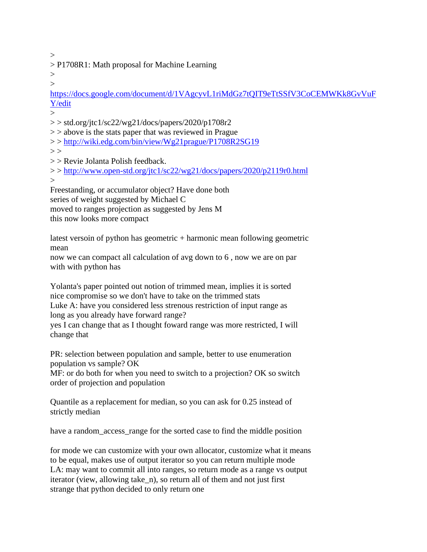$>$ 

> P1708R1: Math proposal for Machine Learning

 $>$  $\geq$ 

[https://docs.google.com/document/d/1VAgcyvL1riMdGz7tQIT9eTtSSfV3CoCEMWKk8GvVuF](https://docs.google.com/document/d/1VAgcyvL1riMdGz7tQIT9eTtSSfV3CoCEMWKk8GvVuFY/edit) [Y/edit](https://docs.google.com/document/d/1VAgcyvL1riMdGz7tQIT9eTtSSfV3CoCEMWKk8GvVuFY/edit)

 $\rightarrow$ 

 $>$  std.org/jtc1/sc22/wg21/docs/papers/2020/p1708r2

 $\ge$   $>$  above is the stats paper that was reviewed in Prague

> ><http://wiki.edg.com/bin/view/Wg21prague/P1708R2SG19>

 $>$ 

> > Revie Jolanta Polish feedback.

> ><http://www.open-std.org/jtc1/sc22/wg21/docs/papers/2020/p2119r0.html>  $\geq$ 

Freestanding, or accumulator object? Have done both series of weight suggested by Michael C

moved to ranges projection as suggested by Jens M

this now looks more compact

latest versoin of python has geometric + harmonic mean following geometric mean

now we can compact all calculation of avg down to 6 , now we are on par with with python has

Yolanta's paper pointed out notion of trimmed mean, implies it is sorted nice compromise so we don't have to take on the trimmed stats

Luke A: have you considered less strenous restriction of input range as long as you already have forward range?

yes I can change that as I thought foward range was more restricted, I will change that

PR: selection between population and sample, better to use enumeration population vs sample? OK

MF: or do both for when you need to switch to a projection? OK so switch order of projection and population

Quantile as a replacement for median, so you can ask for 0.25 instead of strictly median

have a random\_access\_range for the sorted case to find the middle position

for mode we can customize with your own allocator, customize what it means to be equal, makes use of output iterator so you can return multiple mode LA: may want to commit all into ranges, so return mode as a range vs output iterator (view, allowing take\_n), so return all of them and not just first strange that python decided to only return one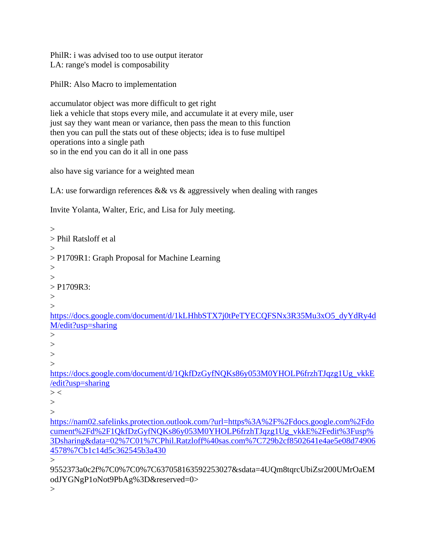PhilR: i was advised too to use output iterator LA: range's model is composability

PhilR: Also Macro to implementation

accumulator object was more difficult to get right liek a vehicle that stops every mile, and accumulate it at every mile, user just say they want mean or variance, then pass the mean to this function then you can pull the stats out of these objects; idea is to fuse multipel operations into a single path so in the end you can do it all in one pass

also have sig variance for a weighted mean

LA: use forwardign references & & vs & aggressively when dealing with ranges

Invite Yolanta, Walter, Eric, and Lisa for July meeting.

 $\geq$ > Phil Ratsloff et al  $>$ > P1709R1: Graph Proposal for Machine Learning  $>$  $\geq$  $>$  P1709R3: >  $\geq$ [https://docs.google.com/document/d/1kLHhbSTX7j0tPeTYECQFSNx3R35Mu3xO5\\_dyYdRy4d](https://docs.google.com/document/d/1kLHhbSTX7j0tPeTYECQFSNx3R35Mu3xO5_dyYdRy4dM/edit?usp=sharing) [M/edit?usp=sharing](https://docs.google.com/document/d/1kLHhbSTX7j0tPeTYECQFSNx3R35Mu3xO5_dyYdRy4dM/edit?usp=sharing)  $\geq$  $>$ >  $\rightarrow$ [https://docs.google.com/document/d/1QkfDzGyfNQKs86y053M0YHOLP6frzhTJqzg1Ug\\_vkkE](https://docs.google.com/document/d/1QkfDzGyfNQKs86y053M0YHOLP6frzhTJqzg1Ug_vkkE/edit?usp=sharing) [/edit?usp=sharing](https://docs.google.com/document/d/1QkfDzGyfNQKs86y053M0YHOLP6frzhTJqzg1Ug_vkkE/edit?usp=sharing)  $>$  < >  $\rightarrow$ [https://nam02.safelinks.protection.outlook.com/?url=https%3A%2F%2Fdocs.google.com%2Fdo](https://nam02.safelinks.protection.outlook.com/?url=https%3A%2F%2Fdocs.google.com%2Fdocument%2Fd%2F1QkfDzGyfNQKs86y053M0YHOLP6frzhTJqzg1Ug_vkkE%2Fedit%3Fusp%3Dsharing&data=02%7C01%7CPhil.Ratzloff%40sas.com%7C729b2cf8502641e4ae5e08d749064578%7Cb1c14d5c362545b3a430) [cument%2Fd%2F1QkfDzGyfNQKs86y053M0YHOLP6frzhTJqzg1Ug\\_vkkE%2Fedit%3Fusp%](https://nam02.safelinks.protection.outlook.com/?url=https%3A%2F%2Fdocs.google.com%2Fdocument%2Fd%2F1QkfDzGyfNQKs86y053M0YHOLP6frzhTJqzg1Ug_vkkE%2Fedit%3Fusp%3Dsharing&data=02%7C01%7CPhil.Ratzloff%40sas.com%7C729b2cf8502641e4ae5e08d749064578%7Cb1c14d5c362545b3a430) [3Dsharing&data=02%7C01%7CPhil.Ratzloff%40sas.com%7C729b2cf8502641e4ae5e08d74906](https://nam02.safelinks.protection.outlook.com/?url=https%3A%2F%2Fdocs.google.com%2Fdocument%2Fd%2F1QkfDzGyfNQKs86y053M0YHOLP6frzhTJqzg1Ug_vkkE%2Fedit%3Fusp%3Dsharing&data=02%7C01%7CPhil.Ratzloff%40sas.com%7C729b2cf8502641e4ae5e08d749064578%7Cb1c14d5c362545b3a430) [4578%7Cb1c14d5c362545b3a430](https://nam02.safelinks.protection.outlook.com/?url=https%3A%2F%2Fdocs.google.com%2Fdocument%2Fd%2F1QkfDzGyfNQKs86y053M0YHOLP6frzhTJqzg1Ug_vkkE%2Fedit%3Fusp%3Dsharing&data=02%7C01%7CPhil.Ratzloff%40sas.com%7C729b2cf8502641e4ae5e08d749064578%7Cb1c14d5c362545b3a430)  $\rightarrow$ 9552373a0c2f%7C0%7C0%7C637058163592253027&sdata=4UQm8tqrcUbiZsr200UMrOaEM odJYGNgP1oNot9PbAg%3D&reserved=0>

 $>$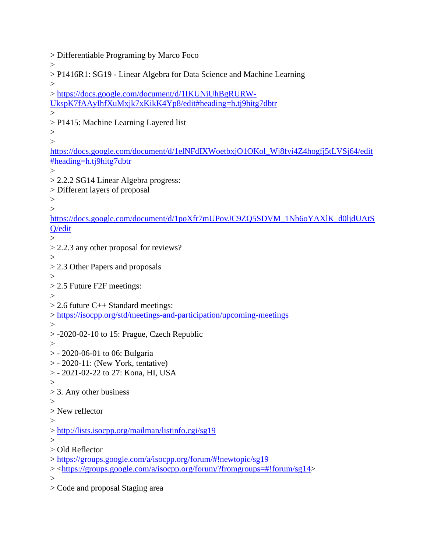> Differentiable Programing by Marco Foco  $\geq$ > P1416R1: SG19 - Linear Algebra for Data Science and Machine Learning  $>$ > [https://docs.google.com/document/d/1IKUNiUhBgRURW-](https://docs.google.com/document/d/1IKUNiUhBgRURW-UkspK7fAAyIhfXuMxjk7xKikK4Yp8/edit#heading=h.tj9hitg7dbtr)[UkspK7fAAyIhfXuMxjk7xKikK4Yp8/edit#heading=h.tj9hitg7dbtr](https://docs.google.com/document/d/1IKUNiUhBgRURW-UkspK7fAAyIhfXuMxjk7xKikK4Yp8/edit#heading=h.tj9hitg7dbtr)  $\geq$ > P1415: Machine Learning Layered list  $>$  $\geq$ [https://docs.google.com/document/d/1elNFdIXWoetbxjO1OKol\\_Wj8fyi4Z4hogfj5tLVSj64/edit](https://docs.google.com/document/d/1elNFdIXWoetbxjO1OKol_Wj8fyi4Z4hogfj5tLVSj64/edit#heading=h.tj9hitg7dbtr) [#heading=h.tj9hitg7dbtr](https://docs.google.com/document/d/1elNFdIXWoetbxjO1OKol_Wj8fyi4Z4hogfj5tLVSj64/edit#heading=h.tj9hitg7dbtr)  $\geq$ > 2.2.2 SG14 Linear Algebra progress: > Different layers of proposal  $>$  $\geq$ [https://docs.google.com/document/d/1poXfr7mUPovJC9ZQ5SDVM\\_1Nb6oYAXlK\\_d0ljdUAtS](https://docs.google.com/document/d/1poXfr7mUPovJC9ZQ5SDVM_1Nb6oYAXlK_d0ljdUAtSQ/edit) [Q/edit](https://docs.google.com/document/d/1poXfr7mUPovJC9ZQ5SDVM_1Nb6oYAXlK_d0ljdUAtSQ/edit)  $>$ > 2.2.3 any other proposal for reviews?  $\geq$ > 2.3 Other Papers and proposals  $>$ > 2.5 Future F2F meetings:  $\geq$  $> 2.6$  future C++ Standard meetings: ><https://isocpp.org/std/meetings-and-participation/upcoming-meetings>  $>$  $> -2020-02-10$  to 15: Prague, Czech Republic  $>$ > - 2020-06-01 to 06: Bulgaria > - 2020-11: (New York, tentative) > - 2021-02-22 to 27: Kona, HI, USA  $>$ > 3. Any other business  $\rightarrow$ > New reflector  $>$ ><http://lists.isocpp.org/mailman/listinfo.cgi/sg19>  $\geq$ > Old Reflector ><https://groups.google.com/a/isocpp.org/forum/#!newtopic/sg19> > [<https://groups.google.com/a/isocpp.org/forum/?fromgroups=#!forum/sg14>](https://groups.google.com/a/isocpp.org/forum/?fromgroups=#!forum/sg14)  $\geq$ 

> Code and proposal Staging area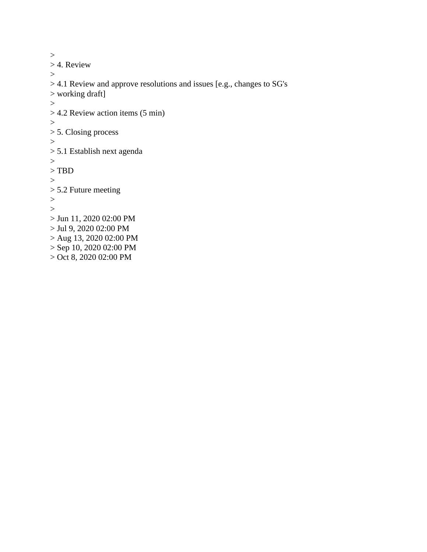```
>> 4. Review 
>> 4.1 Review and approve resolutions and issues [e.g., changes to SG's 
> working draft] 
>> 4.2 Review action items (5 min) 
\,>> 5. Closing process 
>> 5.1 Establish next agenda 
>> TBD 
>> 5.2 Future meeting 
>\geq> Jun 11, 2020 02:00 PM 
> Jul 9, 2020 02:00 PM 
> Aug 13, 2020 02:00 PM 
> Sep 10, 2020 02:00 PM 
> Oct 8, 2020 02:00 PM
```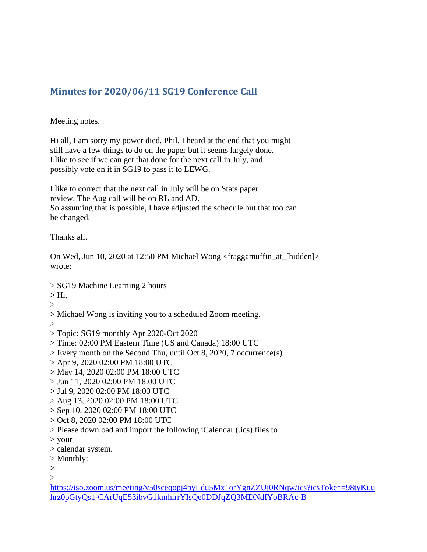# <span id="page-10-0"></span>**Minutes for 2020/06/11 SG19 Conference Call**

Meeting notes.

Hi all, I am sorry my power died. Phil, I heard at the end that you might still have a few things to do on the paper but it seems largely done. I like to see if we can get that done for the next call in July, and possibly vote on it in SG19 to pass it to LEWG.

I like to correct that the next call in July will be on Stats paper review. The Aug call will be on RL and AD. So assuming that is possible, I have adjusted the schedule but that too can be changed.

Thanks all.

On Wed, Jun 10, 2020 at 12:50 PM Michael Wong <fraggamuffin\_at\_[hidden]> wrote:

- > SG19 Machine Learning 2 hours
- $>$  Hi,
- $>$
- > Michael Wong is inviting you to a scheduled Zoom meeting.
- $\geq$
- > Topic: SG19 monthly Apr 2020-Oct 2020
- > Time: 02:00 PM Eastern Time (US and Canada) 18:00 UTC
- > Every month on the Second Thu, until Oct 8, 2020, 7 occurrence(s)
- > Apr 9, 2020 02:00 PM 18:00 UTC
- > May 14, 2020 02:00 PM 18:00 UTC
- > Jun 11, 2020 02:00 PM 18:00 UTC
- > Jul 9, 2020 02:00 PM 18:00 UTC
- > Aug 13, 2020 02:00 PM 18:00 UTC
- > Sep 10, 2020 02:00 PM 18:00 UTC
- > Oct 8, 2020 02:00 PM 18:00 UTC
- > Please download and import the following iCalendar (.ics) files to
- > your
- > calendar system.
- > Monthly:
- $>$

 $\rightarrow$ 

[https://iso.zoom.us/meeting/v50sceqopj4pyLdu5Mx1orYgnZZUj0RNqw/ics?icsToken=98tyKuu](https://iso.zoom.us/meeting/v50sceqopj4pyLdu5Mx1orYgnZZUj0RNqw/ics?icsToken=98tyKuuhrz0pGtyQs1-CArUqE53ibvG1kmhirrYIsQe0DDJqZQ3MDNdIYoBRAc-B) [hrz0pGtyQs1-CArUqE53ibvG1kmhirrYIsQe0DDJqZQ3MDNdIYoBRAc-B](https://iso.zoom.us/meeting/v50sceqopj4pyLdu5Mx1orYgnZZUj0RNqw/ics?icsToken=98tyKuuhrz0pGtyQs1-CArUqE53ibvG1kmhirrYIsQe0DDJqZQ3MDNdIYoBRAc-B)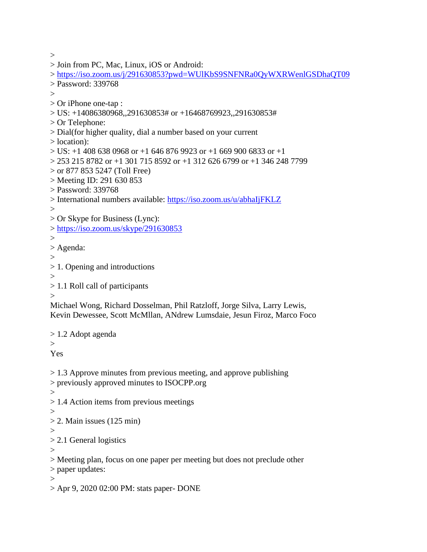$>$ 

```
> https://iso.zoom.us/j/291630853?pwd=WUlKbS9SNFNRa0QyWXRWenlGSDhaQT09
> Password: 339768 
\geq
```
> Join from PC, Mac, Linux, iOS or Android:

> Or iPhone one-tap :

```
> US: +14086380968,,291630853# or +16468769923,,291630853#
```
- > Or Telephone:
- > Dial(for higher quality, dial a number based on your current

> location):

```
> US: +1 408 638 0968 or +1 646 876 9923 or +1 669 900 6833 or +1
```

```
> 253 215 8782 or +1 301 715 8592 or +1 312 626 6799 or +1 346 248 7799
```
> or 877 853 5247 (Toll Free)

> Meeting ID: 291 630 853

> Password: 339768

```
> International numbers available: https://iso.zoom.us/u/abhaIjFKLZ
```
 $\geq$ 

> Or Skype for Business (Lync):

><https://iso.zoom.us/skype/291630853>

```
>
```
> Agenda:

```
>
```
> 1. Opening and introductions

>

```
> 1.1 Roll call of participants
```
 $\geq$ 

Michael Wong, Richard Dosselman, Phil Ratzloff, Jorge Silva, Larry Lewis, Kevin Dewessee, Scott McMllan, ANdrew Lumsdaie, Jesun Firoz, Marco Foco

> 1.2 Adopt agenda

 $\geq$ Yes

> 1.3 Approve minutes from previous meeting, and approve publishing

```
> previously approved minutes to ISOCPP.org
```

```
\geq
```
- > 1.4 Action items from previous meetings
- $\geq$
- $> 2$ . Main issues (125 min)
- >

> 2.1 General logistics

 $\geq$ 

> Meeting plan, focus on one paper per meeting but does not preclude other

> paper updates:

 $\geq$ 

> Apr 9, 2020 02:00 PM: stats paper- DONE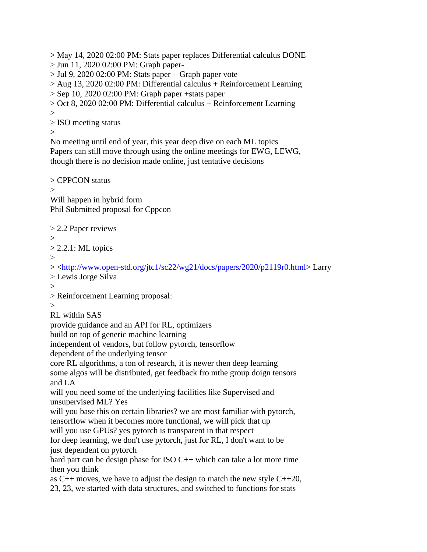> May 14, 2020 02:00 PM: Stats paper replaces Differential calculus DONE

- > Jun 11, 2020 02:00 PM: Graph paper-
- $>$  Jul 9, 2020 02:00 PM: Stats paper + Graph paper vote

> Aug 13, 2020 02:00 PM: Differential calculus + Reinforcement Learning

 $>$  Sep 10, 2020 02:00 PM: Graph paper + stats paper

> Oct 8, 2020 02:00 PM: Differential calculus + Reinforcement Learning >

> ISO meeting status

>

No meeting until end of year, this year deep dive on each ML topics Papers can still move through using the online meetings for EWG, LEWG, though there is no decision made online, just tentative decisions

> CPPCON status  $\overline{\phantom{0}}$ Will happen in hybrid form Phil Submitted proposal for Cppcon

> 2.2 Paper reviews  $>$ 

 $> 2.2.1$ : ML topics

>

> [<http://www.open-std.org/jtc1/sc22/wg21/docs/papers/2020/p2119r0.html>](http://www.open-std.org/jtc1/sc22/wg21/docs/papers/2020/p2119r0.html) Larry

> Lewis Jorge Silva

 $\geq$ 

> Reinforcement Learning proposal:

>

RL within SAS

provide guidance and an API for RL, optimizers

build on top of generic machine learning

independent of vendors, but follow pytorch, tensorflow

dependent of the underlying tensor

core RL algorithms, a ton of research, it is newer then deep learning

some algos will be distributed, get feedback fro mthe group doign tensors and LA

will you need some of the underlying facilities like Supervised and unsupervised ML? Yes

will you base this on certain libraries? we are most familiar with pytorch, tensorflow when it becomes more functional, we will pick that up

will you use GPUs? yes pytorch is transparent in that respect

for deep learning, we don't use pytorch, just for RL, I don't want to be just dependent on pytorch

hard part can be design phase for ISO C++ which can take a lot more time then you think

as  $C_{++}$  moves, we have to adjust the design to match the new style  $C_{++}$ 20,

23, 23, we started with data structures, and switched to functions for stats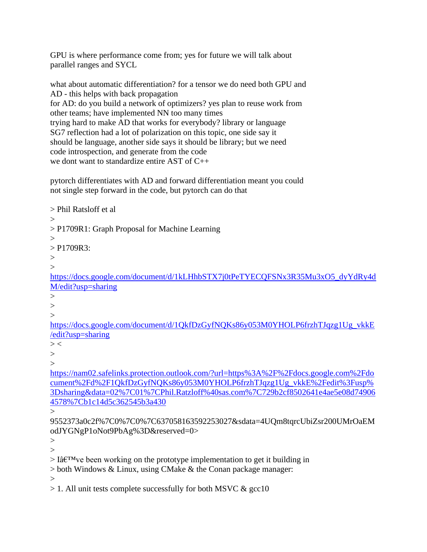GPU is where performance come from; yes for future we will talk about parallel ranges and SYCL

what about automatic differentiation? for a tensor we do need both GPU and AD - this helps with back propagation for AD: do you build a network of optimizers? yes plan to reuse work from other teams; have implemented NN too many times trying hard to make AD that works for everybody? library or language SG7 reflection had a lot of polarization on this topic, one side say it should be language, another side says it should be library; but we need code introspection, and generate from the code we dont want to standardize entire AST of C++

pytorch differentiates with AD and forward differentiation meant you could not single step forward in the code, but pytorch can do that

> Phil Ratsloff et al  $>$ > P1709R1: Graph Proposal for Machine Learning  $\geq$  $>$  P1709R3:  $\rightarrow$  $>$ [https://docs.google.com/document/d/1kLHhbSTX7j0tPeTYECQFSNx3R35Mu3xO5\\_dyYdRy4d](https://docs.google.com/document/d/1kLHhbSTX7j0tPeTYECQFSNx3R35Mu3xO5_dyYdRy4dM/edit?usp=sharing) [M/edit?usp=sharing](https://docs.google.com/document/d/1kLHhbSTX7j0tPeTYECQFSNx3R35Mu3xO5_dyYdRy4dM/edit?usp=sharing)  $\geq$  $\geq$  $\geq$ [https://docs.google.com/document/d/1QkfDzGyfNQKs86y053M0YHOLP6frzhTJqzg1Ug\\_vkkE](https://docs.google.com/document/d/1QkfDzGyfNQKs86y053M0YHOLP6frzhTJqzg1Ug_vkkE/edit?usp=sharing) [/edit?usp=sharing](https://docs.google.com/document/d/1QkfDzGyfNQKs86y053M0YHOLP6frzhTJqzg1Ug_vkkE/edit?usp=sharing)  $>$  <  $\geq$  $\geq$ [https://nam02.safelinks.protection.outlook.com/?url=https%3A%2F%2Fdocs.google.com%2Fdo](https://nam02.safelinks.protection.outlook.com/?url=https%3A%2F%2Fdocs.google.com%2Fdocument%2Fd%2F1QkfDzGyfNQKs86y053M0YHOLP6frzhTJqzg1Ug_vkkE%2Fedit%3Fusp%3Dsharing&data=02%7C01%7CPhil.Ratzloff%40sas.com%7C729b2cf8502641e4ae5e08d749064578%7Cb1c14d5c362545b3a430) [cument%2Fd%2F1QkfDzGyfNQKs86y053M0YHOLP6frzhTJqzg1Ug\\_vkkE%2Fedit%3Fusp%](https://nam02.safelinks.protection.outlook.com/?url=https%3A%2F%2Fdocs.google.com%2Fdocument%2Fd%2F1QkfDzGyfNQKs86y053M0YHOLP6frzhTJqzg1Ug_vkkE%2Fedit%3Fusp%3Dsharing&data=02%7C01%7CPhil.Ratzloff%40sas.com%7C729b2cf8502641e4ae5e08d749064578%7Cb1c14d5c362545b3a430) [3Dsharing&data=02%7C01%7CPhil.Ratzloff%40sas.com%7C729b2cf8502641e4ae5e08d74906](https://nam02.safelinks.protection.outlook.com/?url=https%3A%2F%2Fdocs.google.com%2Fdocument%2Fd%2F1QkfDzGyfNQKs86y053M0YHOLP6frzhTJqzg1Ug_vkkE%2Fedit%3Fusp%3Dsharing&data=02%7C01%7CPhil.Ratzloff%40sas.com%7C729b2cf8502641e4ae5e08d749064578%7Cb1c14d5c362545b3a430) [4578%7Cb1c14d5c362545b3a430](https://nam02.safelinks.protection.outlook.com/?url=https%3A%2F%2Fdocs.google.com%2Fdocument%2Fd%2F1QkfDzGyfNQKs86y053M0YHOLP6frzhTJqzg1Ug_vkkE%2Fedit%3Fusp%3Dsharing&data=02%7C01%7CPhil.Ratzloff%40sas.com%7C729b2cf8502641e4ae5e08d749064578%7Cb1c14d5c362545b3a430) > 9552373a0c2f%7C0%7C0%7C637058163592253027&sdata=4UQm8tqrcUbiZsr200UMrOaEM odJYGNgP1oNot9PbAg%3D&reserved=0>  $>$ 

 $>$ 

 $> I\hat{a} \in T^{M}$  ve been working on the prototype implementation to get it building in

> both Windows & Linux, using CMake & the Conan package manager:

 $\rightarrow$ 

 $> 1$ . All unit tests complete successfully for both MSVC  $\& \text{gcc10}$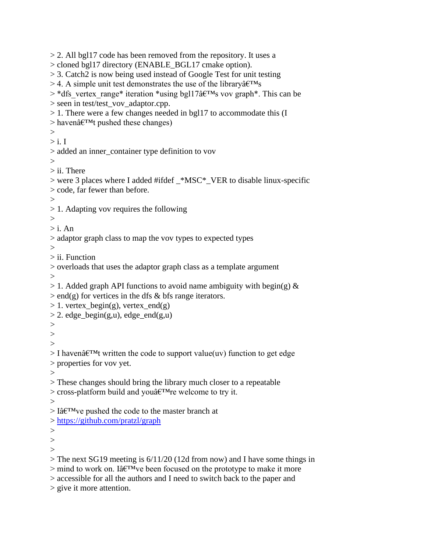> 2. All bgl17 code has been removed from the repository. It uses a > cloned bgl17 directory (ENABLE\_BGL17 cmake option). > 3. Catch2 is now being used instead of Google Test for unit testing  $>$  4. A simple unit test demonstrates the use of the library  $\hat{a} \in T^{M}$ s  $>$ \*dfs vertex range\* iteration \*using bgl17 $\hat{a}$ E<sup>TM</sup>s vov graph\*. This can be > seen in test/test\_vov\_adaptor.cpp. > 1. There were a few changes needed in bgl17 to accommodate this (I  $>$  haven $\hat{a} \in TM$ t pushed these changes)  $\geq$  $>$  i. I > added an inner\_container type definition to vov  $\rightarrow$  $>$  ii. There > were 3 places where I added #ifdef \_\*MSC\*\_VER to disable linux-specific > code, far fewer than before.  $>$ > 1. Adapting vov requires the following  $\geq$  $>$  i. An > adaptor graph class to map the vov types to expected types  $\rightarrow$ > ii. Function > overloads that uses the adaptor graph class as a template argument  $>$  $> 1$ . Added graph API functions to avoid name ambiguity with begin(g) &  $>$ end(g) for vertices in the dfs & bfs range iterators.  $> 1.$  vertex\_begin(g), vertex\_end(g)  $> 2$ . edge begin(g,u), edge end(g,u)  $>$  $>$  $\rightarrow$  $>$  I haven $\hat{a} \in T^M$ t written the code to support value(uv) function to get edge > properties for vov yet.  $>$ > These changes should bring the library much closer to a repeatable  $>$  cross-platform build and you $\hat{a} \in T^M$ re welcome to try it.  $\geq$  $> I\hat{a} \in T^{M}$  ve pushed the code to the master branch at ><https://github.com/pratzl/graph>  $\geq$  $\geq$  $\rightarrow$ > The next SG19 meeting is 6/11/20 (12d from now) and I have some things in  $>$  mind to work on. Iâ $\varepsilon$ <sup>TM</sup>ve been focused on the prototype to make it more > accessible for all the authors and I need to switch back to the paper and > give it more attention.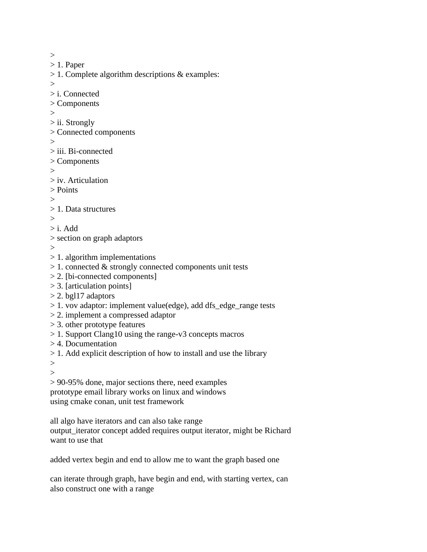$>$ > 1. Paper > 1. Complete algorithm descriptions & examples:  $\geq$ > i. Connected > Components > > ii. Strongly > Connected components  $>$ > iii. Bi-connected > Components  $\geq$ > iv. Articulation > Points > > 1. Data structures  $\geq$  $> i.$  Add > section on graph adaptors > > 1. algorithm implementations  $> 1$ . connected & strongly connected components unit tests > 2. [bi-connected components] > 3. [articulation points]  $> 2.$  bgl17 adaptors > 1. vov adaptor: implement value(edge), add dfs\_edge\_range tests > 2. implement a compressed adaptor > 3. other prototype features > 1. Support Clang10 using the range-v3 concepts macros > 4. Documentation > 1. Add explicit description of how to install and use the library  $>$  $>$ > 90-95% done, major sections there, need examples prototype email library works on linux and windows using cmake conan, unit test framework all algo have iterators and can also take range output\_iterator concept added requires output iterator, might be Richard

want to use that

added vertex begin and end to allow me to want the graph based one

can iterate through graph, have begin and end, with starting vertex, can also construct one with a range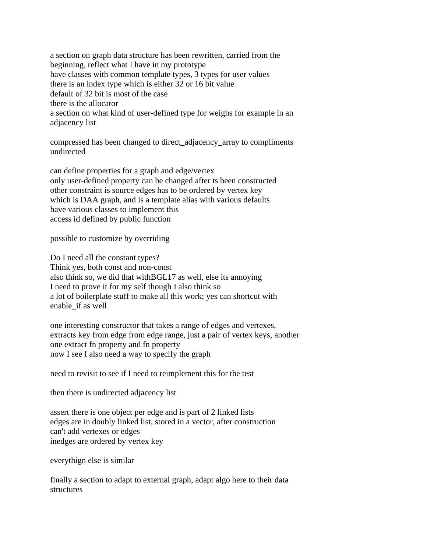a section on graph data structure has been rewritten, carried from the beginning, reflect what I have in my prototype have classes with common template types, 3 types for user values there is an index type which is either 32 or 16 bit value default of 32 bit is most of the case there is the allocator a section on what kind of user-defined type for weighs for example in an adjacency list

compressed has been changed to direct\_adjacency\_array to compliments undirected

can define properties for a graph and edge/vertex only user-defined property can be changed after ts been constructed other constraint is source edges has to be ordered by vertex key which is DAA graph, and is a template alias with various defaults have various classes to implement this access id defined by public function

possible to customize by overriding

Do I need all the constant types? Think yes, both const and non-const also think so, we did that withBGL17 as well, else its annoying I need to prove it for my self though I also think so a lot of boilerplate stuff to make all this work; yes can shortcut with enable\_if as well

one interesting constructor that takes a range of edges and vertexes, extracts key from edge from edge range, just a pair of vertex keys, another one extract fn property and fn property now I see I also need a way to specify the graph

need to revisit to see if I need to reimplement this for the test

then there is undirected adjacency list

assert there is one object per edge and is part of 2 linked lists edges are in doubly linked list, stored in a vector, after construction can't add vertexes or edges inedges are ordered by vertex key

everythign else is similar

finally a section to adapt to external graph, adapt algo here to their data structures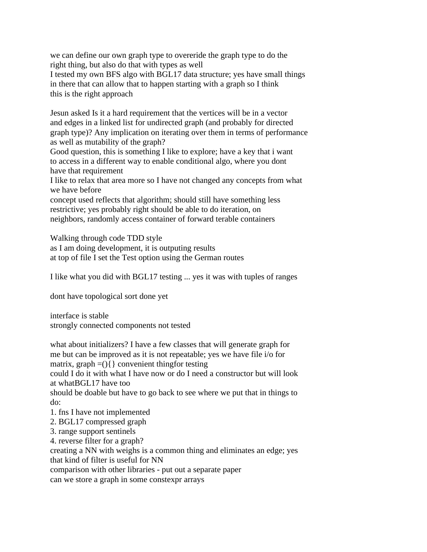we can define our own graph type to overeride the graph type to do the right thing, but also do that with types as well I tested my own BFS algo with BGL17 data structure; yes have small things in there that can allow that to happen starting with a graph so I think this is the right approach

Jesun asked Is it a hard requirement that the vertices will be in a vector and edges in a linked list for undirected graph (and probably for directed graph type)? Any implication on iterating over them in terms of performance as well as mutability of the graph?

Good question, this is something I like to explore; have a key that i want to access in a different way to enable conditional algo, where you dont have that requirement

I like to relax that area more so I have not changed any concepts from what we have before

concept used reflects that algorithm; should still have something less restrictive; yes probably right should be able to do iteration, on neighbors, randomly access container of forward terable containers

Walking through code TDD style

as I am doing development, it is outputing results at top of file I set the Test option using the German routes

I like what you did with BGL17 testing ... yes it was with tuples of ranges

dont have topological sort done yet

interface is stable strongly connected components not tested

what about initializers? I have a few classes that will generate graph for me but can be improved as it is not repeatable; yes we have file i/o for matrix, graph  $=(\ )\{ \}$  convenient thingfor testing could I do it with what I have now or do I need a constructor but will look at whatBGL17 have too should be doable but have to go back to see where we put that in things to do: 1. fns I have not implemented 2. BGL17 compressed graph 3. range support sentinels 4. reverse filter for a graph? creating a NN with weighs is a common thing and eliminates an edge; yes that kind of filter is useful for NN comparison with other libraries - put out a separate paper

can we store a graph in some constexpr arrays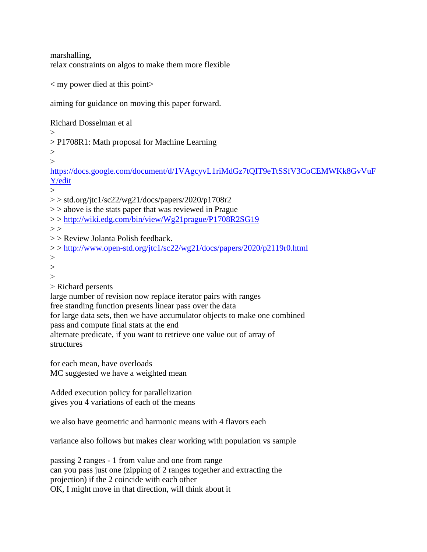marshalling, relax constraints on algos to make them more flexible

 $\langle$  my power died at this point $\rangle$ 

aiming for guidance on moving this paper forward.

Richard Dosselman et al  $\rightarrow$ > P1708R1: Math proposal for Machine Learning  $>$  $>$ [https://docs.google.com/document/d/1VAgcyvL1riMdGz7tQIT9eTtSSfV3CoCEMWKk8GvVuF](https://docs.google.com/document/d/1VAgcyvL1riMdGz7tQIT9eTtSSfV3CoCEMWKk8GvVuFY/edit) [Y/edit](https://docs.google.com/document/d/1VAgcyvL1riMdGz7tQIT9eTtSSfV3CoCEMWKk8GvVuFY/edit)  $\sim$  $>$  std.org/jtc1/sc22/wg21/docs/papers/2020/p1708r2  $\ge$  > above is the stats paper that was reviewed in Prague > ><http://wiki.edg.com/bin/view/Wg21prague/P1708R2SG19>  $>$ > > Review Jolanta Polish feedback. > ><http://www.open-std.org/jtc1/sc22/wg21/docs/papers/2020/p2119r0.html> >  $>$  $\geq$ > Richard persents large number of revision now replace iterator pairs with ranges free standing function presents linear pass over the data for large data sets, then we have accumulator objects to make one combined pass and compute final stats at the end alternate predicate, if you want to retrieve one value out of array of structures for each mean, have overloads

MC suggested we have a weighted mean

Added execution policy for parallelization gives you 4 variations of each of the means

we also have geometric and harmonic means with 4 flavors each

variance also follows but makes clear working with population vs sample

passing 2 ranges - 1 from value and one from range can you pass just one (zipping of 2 ranges together and extracting the projection) if the 2 coincide with each other OK, I might move in that direction, will think about it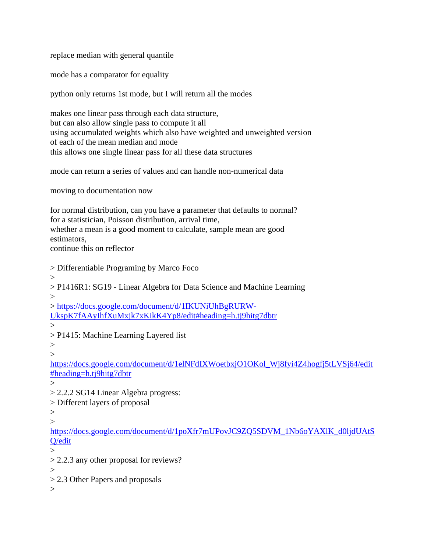replace median with general quantile

mode has a comparator for equality

python only returns 1st mode, but I will return all the modes

makes one linear pass through each data structure, but can also allow single pass to compute it all using accumulated weights which also have weighted and unweighted version of each of the mean median and mode this allows one single linear pass for all these data structures

mode can return a series of values and can handle non-numerical data

moving to documentation now

for normal distribution, can you have a parameter that defaults to normal? for a statistician, Poisson distribution, arrival time, whether a mean is a good moment to calculate, sample mean are good estimators, continue this on reflector

> Differentiable Programing by Marco Foco

 $>$ 

> P1416R1: SG19 - Linear Algebra for Data Science and Machine Learning  $\geq$ 

> [https://docs.google.com/document/d/1IKUNiUhBgRURW-](https://docs.google.com/document/d/1IKUNiUhBgRURW-UkspK7fAAyIhfXuMxjk7xKikK4Yp8/edit#heading=h.tj9hitg7dbtr)[UkspK7fAAyIhfXuMxjk7xKikK4Yp8/edit#heading=h.tj9hitg7dbtr](https://docs.google.com/document/d/1IKUNiUhBgRURW-UkspK7fAAyIhfXuMxjk7xKikK4Yp8/edit#heading=h.tj9hitg7dbtr) >

> P1415: Machine Learning Layered list

 $>$  $\geq$ 

[https://docs.google.com/document/d/1elNFdIXWoetbxjO1OKol\\_Wj8fyi4Z4hogfj5tLVSj64/edit](https://docs.google.com/document/d/1elNFdIXWoetbxjO1OKol_Wj8fyi4Z4hogfj5tLVSj64/edit#heading=h.tj9hitg7dbtr) [#heading=h.tj9hitg7dbtr](https://docs.google.com/document/d/1elNFdIXWoetbxjO1OKol_Wj8fyi4Z4hogfj5tLVSj64/edit#heading=h.tj9hitg7dbtr)

 $\rightarrow$ 

> 2.2.2 SG14 Linear Algebra progress:

> Different layers of proposal

 $>$ 

 $\geq$ 

https://docs.google.com/document/d/1poXfr7mUPovJC9ZO5SDVM\_1Nb6oYAXlK\_d0ljdUAtS [Q/edit](https://docs.google.com/document/d/1poXfr7mUPovJC9ZQ5SDVM_1Nb6oYAXlK_d0ljdUAtSQ/edit)

 $\geq$ 

> 2.2.3 any other proposal for reviews?

 $\geq$ 

> 2.3 Other Papers and proposals

 $\geq$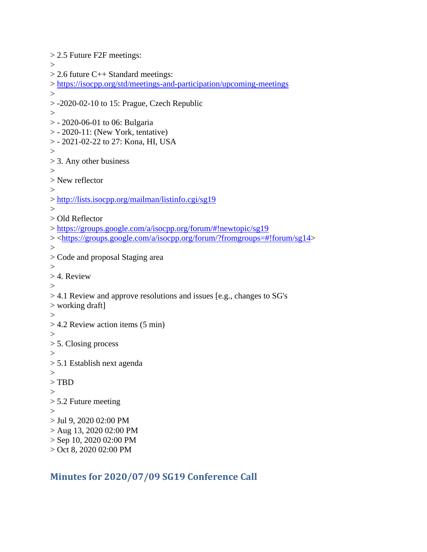```
> 2.5 Future F2F meetings: 
\rightarrow> 2.6 future C++ Standard meetings:
> https://isocpp.org/std/meetings-and-participation/upcoming-meetings
\geq> -2020-02-10 to 15: Prague, Czech Republic 
\geq> - 2020-06-01 to 06: Bulgaria 
> - 2020-11: (New York, tentative) 
> - 2021-02-22 to 27: Kona, HI, USA 
\geq> 3. Any other business 
>> New reflector 
\geq> http://lists.isocpp.org/mailman/listinfo.cgi/sg19
\geq> Old Reflector 
> https://groups.google.com/a/isocpp.org/forum/#!newtopic/sg19
> <https://groups.google.com/a/isocpp.org/forum/?fromgroups=#!forum/sg14> 
> 
> Code and proposal Staging area 
\geq> 4. Review 
\geq> 4.1 Review and approve resolutions and issues [e.g., changes to SG's 
> working draft] 
\geq> 4.2 Review action items (5 min) 
>> 5. Closing process 
>> 5.1 Establish next agenda 
\geq> TBD 
> 
> 5.2 Future meeting 
>> Jul 9, 2020 02:00 PM 
> Aug 13, 2020 02:00 PM 
> Sep 10, 2020 02:00 PM 
> Oct 8, 2020 02:00 PM
```
# <span id="page-20-0"></span>**Minutes for 2020/07/09 SG19 Conference Call**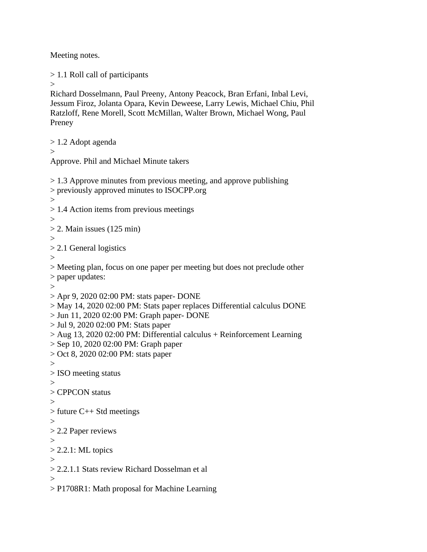Meeting notes.

> 1.1 Roll call of participants

```
\rightarrow
```
Richard Dosselmann, Paul Preeny, Antony Peacock, Bran Erfani, Inbal Levi, Jessum Firoz, Jolanta Opara, Kevin Deweese, Larry Lewis, Michael Chiu, Phil Ratzloff, Rene Morell, Scott McMillan, Walter Brown, Michael Wong, Paul Preney

> 1.2 Adopt agenda

 $\geq$ 

Approve. Phil and Michael Minute takers

 $> 1.3$  Approve minutes from previous meeting, and approve publishing > previously approved minutes to ISOCPP.org  $>$ > 1.4 Action items from previous meetings  $>$  $> 2$ . Main issues (125 min) > > 2.1 General logistics > > Meeting plan, focus on one paper per meeting but does not preclude other > paper updates:  $\geq$ > Apr 9, 2020 02:00 PM: stats paper- DONE > May 14, 2020 02:00 PM: Stats paper replaces Differential calculus DONE > Jun 11, 2020 02:00 PM: Graph paper- DONE > Jul 9, 2020 02:00 PM: Stats paper > Aug 13, 2020 02:00 PM: Differential calculus + Reinforcement Learning > Sep 10, 2020 02:00 PM: Graph paper > Oct 8, 2020 02:00 PM: stats paper > > ISO meeting status  $\geq$ > CPPCON status  $>$ > future C++ Std meetings  $>$ > 2.2 Paper reviews  $\geq$  $> 2.2.1$ : ML topics > > 2.2.1.1 Stats review Richard Dosselman et al  $\rightarrow$ > P1708R1: Math proposal for Machine Learning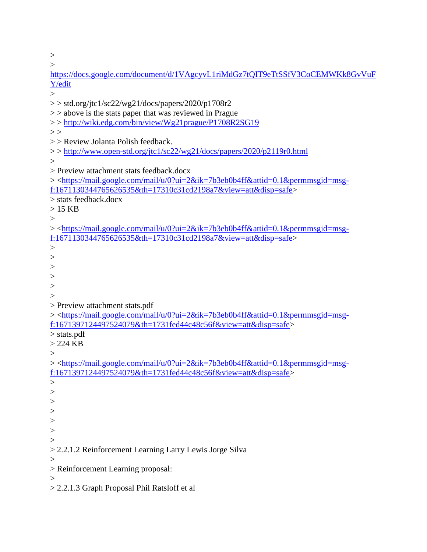>

| >                                                                                                                      |
|------------------------------------------------------------------------------------------------------------------------|
| https://docs.google.com/document/d/1VAgcyvL1riMdGz7tQIT9eTtSSfV3CoCEMWKk8GvVuF                                         |
| Y/edit                                                                                                                 |
|                                                                                                                        |
| $>>$ std.org/jtc1/sc22/wg21/docs/papers/2020/p1708r2                                                                   |
| $\ge$ > above is the stats paper that was reviewed in Prague                                                           |
| >>http://wiki.edg.com/bin/view/Wg21prague/P1708R2SG19                                                                  |
| >                                                                                                                      |
| >> Review Jolanta Polish feedback.                                                                                     |
| >>http://www.open-std.org/jtc1/sc22/wg21/docs/papers/2020/p2119r0.html                                                 |
| $\rm{>}$                                                                                                               |
| > Preview attachment stats feedback.docx                                                                               |
| > <https: 0?ui="2&amp;ik=7b3eb0b4ff&amp;attid=0.1&amp;permmsgid=msg-&lt;/td" mail="" mail.google.com="" u=""></https:> |
| f:1671130344765626535&th=17310c31cd2198a7&view=att&disp=safe>                                                          |
| > stats feedback.docx                                                                                                  |
| $>15$ KB                                                                                                               |
| $\rm{>}$                                                                                                               |
| > <https: 0?ui="2&amp;ik=7b3eb0b4ff&amp;attid=0.1&amp;permmsgid=msg-&lt;/td" mail="" mail.google.com="" u=""></https:> |
| f:1671130344765626535&th=17310c31cd2198a7&view=att&disp=safe>                                                          |
| >                                                                                                                      |
| >                                                                                                                      |
| >                                                                                                                      |
| >                                                                                                                      |
| $\rm{>}$                                                                                                               |
| >                                                                                                                      |
| > Preview attachment stats.pdf                                                                                         |
| > <https: 0?ui="2&amp;ik=7b3eb0b4ff&amp;attid=0.1&amp;permmsgid=msg-&lt;/td" mail="" mail.google.com="" u=""></https:> |
| f:1671397124497524079&th=1731fed44c48c56f&view=att&disp=safe>                                                          |
| $>$ stats.pdf                                                                                                          |
| $>224$ KB                                                                                                              |
| $\rm{>}$                                                                                                               |
| > <https: 0?ui="2&amp;ik=7b3eb0b4ff&amp;attid=0.1&amp;permmsgid=msg-&lt;/td" mail="" mail.google.com="" u=""></https:> |
| f:1671397124497524079&th=1731fed44c48c56f&view=att&disp=safe>                                                          |
|                                                                                                                        |
| >                                                                                                                      |
| >                                                                                                                      |
| >                                                                                                                      |
| >                                                                                                                      |
| >                                                                                                                      |
|                                                                                                                        |
| > 2.2.1.2 Reinforcement Learning Larry Lewis Jorge Silva                                                               |
|                                                                                                                        |
| > Reinforcement Learning proposal:                                                                                     |
|                                                                                                                        |
|                                                                                                                        |

> 2.2.1.3 Graph Proposal Phil Ratsloff et al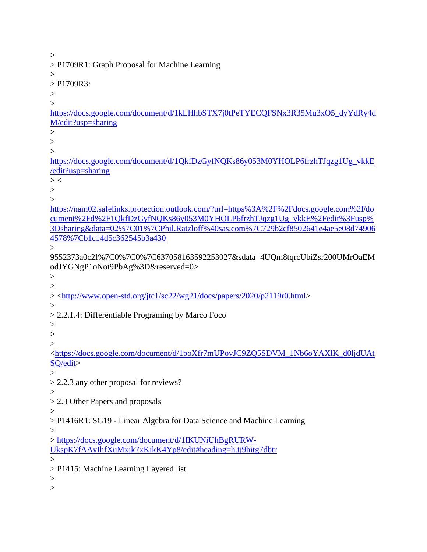$>$ > P1709R1: Graph Proposal for Machine Learning  $>$ > P1709R3:  $\geq$  $\geq$ [https://docs.google.com/document/d/1kLHhbSTX7j0tPeTYECQFSNx3R35Mu3xO5\\_dyYdRy4d](https://docs.google.com/document/d/1kLHhbSTX7j0tPeTYECQFSNx3R35Mu3xO5_dyYdRy4dM/edit?usp=sharing) [M/edit?usp=sharing](https://docs.google.com/document/d/1kLHhbSTX7j0tPeTYECQFSNx3R35Mu3xO5_dyYdRy4dM/edit?usp=sharing) >  $>$  $\geq$ [https://docs.google.com/document/d/1QkfDzGyfNQKs86y053M0YHOLP6frzhTJqzg1Ug\\_vkkE](https://docs.google.com/document/d/1QkfDzGyfNQKs86y053M0YHOLP6frzhTJqzg1Ug_vkkE/edit?usp=sharing) [/edit?usp=sharing](https://docs.google.com/document/d/1QkfDzGyfNQKs86y053M0YHOLP6frzhTJqzg1Ug_vkkE/edit?usp=sharing)  $>$  <  $>$  $\geq$ [https://nam02.safelinks.protection.outlook.com/?url=https%3A%2F%2Fdocs.google.com%2Fdo](https://nam02.safelinks.protection.outlook.com/?url=https%3A%2F%2Fdocs.google.com%2Fdocument%2Fd%2F1QkfDzGyfNQKs86y053M0YHOLP6frzhTJqzg1Ug_vkkE%2Fedit%3Fusp%3Dsharing&data=02%7C01%7CPhil.Ratzloff%40sas.com%7C729b2cf8502641e4ae5e08d749064578%7Cb1c14d5c362545b3a430) [cument%2Fd%2F1QkfDzGyfNQKs86y053M0YHOLP6frzhTJqzg1Ug\\_vkkE%2Fedit%3Fusp%](https://nam02.safelinks.protection.outlook.com/?url=https%3A%2F%2Fdocs.google.com%2Fdocument%2Fd%2F1QkfDzGyfNQKs86y053M0YHOLP6frzhTJqzg1Ug_vkkE%2Fedit%3Fusp%3Dsharing&data=02%7C01%7CPhil.Ratzloff%40sas.com%7C729b2cf8502641e4ae5e08d749064578%7Cb1c14d5c362545b3a430) [3Dsharing&data=02%7C01%7CPhil.Ratzloff%40sas.com%7C729b2cf8502641e4ae5e08d74906](https://nam02.safelinks.protection.outlook.com/?url=https%3A%2F%2Fdocs.google.com%2Fdocument%2Fd%2F1QkfDzGyfNQKs86y053M0YHOLP6frzhTJqzg1Ug_vkkE%2Fedit%3Fusp%3Dsharing&data=02%7C01%7CPhil.Ratzloff%40sas.com%7C729b2cf8502641e4ae5e08d749064578%7Cb1c14d5c362545b3a430) [4578%7Cb1c14d5c362545b3a430](https://nam02.safelinks.protection.outlook.com/?url=https%3A%2F%2Fdocs.google.com%2Fdocument%2Fd%2F1QkfDzGyfNQKs86y053M0YHOLP6frzhTJqzg1Ug_vkkE%2Fedit%3Fusp%3Dsharing&data=02%7C01%7CPhil.Ratzloff%40sas.com%7C729b2cf8502641e4ae5e08d749064578%7Cb1c14d5c362545b3a430)  $\rightarrow$ 9552373a0c2f%7C0%7C0%7C637058163592253027&sdata=4UQm8tqrcUbiZsr200UMrOaEM odJYGNgP1oNot9PbAg%3D&reserved=0>  $\geq$  $>$ > [<http://www.open-std.org/jtc1/sc22/wg21/docs/papers/2020/p2119r0.html>](http://www.open-std.org/jtc1/sc22/wg21/docs/papers/2020/p2119r0.html)  $\geq$ > 2.2.1.4: Differentiable Programing by Marco Foco  $>$  $>$ > [<https://docs.google.com/document/d/1poXfr7mUPovJC9ZQ5SDVM\\_1Nb6oYAXlK\\_d0ljdUAt](https://docs.google.com/document/d/1poXfr7mUPovJC9ZQ5SDVM_1Nb6oYAXlK_d0ljdUAtSQ/edit) [SQ/edit>](https://docs.google.com/document/d/1poXfr7mUPovJC9ZQ5SDVM_1Nb6oYAXlK_d0ljdUAtSQ/edit) > > 2.2.3 any other proposal for reviews?  $\geq$ > 2.3 Other Papers and proposals  $>$ > P1416R1: SG19 - Linear Algebra for Data Science and Machine Learning  $\geq$ > [https://docs.google.com/document/d/1IKUNiUhBgRURW-](https://docs.google.com/document/d/1IKUNiUhBgRURW-UkspK7fAAyIhfXuMxjk7xKikK4Yp8/edit#heading=h.tj9hitg7dbtr)[UkspK7fAAyIhfXuMxjk7xKikK4Yp8/edit#heading=h.tj9hitg7dbtr](https://docs.google.com/document/d/1IKUNiUhBgRURW-UkspK7fAAyIhfXuMxjk7xKikK4Yp8/edit#heading=h.tj9hitg7dbtr)  $>$ > P1415: Machine Learning Layered list  $>$  $\geq$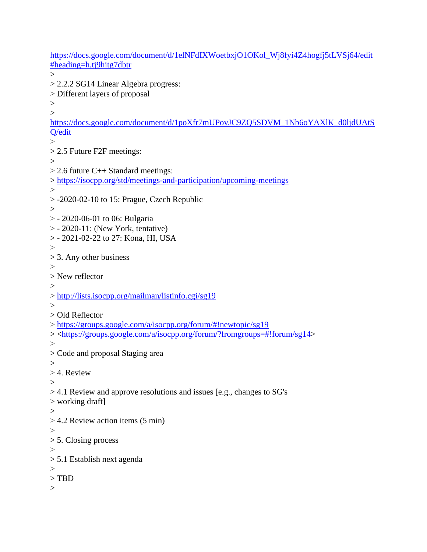[https://docs.google.com/document/d/1elNFdIXWoetbxjO1OKol\\_Wj8fyi4Z4hogfj5tLVSj64/edit](https://docs.google.com/document/d/1elNFdIXWoetbxjO1OKol_Wj8fyi4Z4hogfj5tLVSj64/edit#heading=h.tj9hitg7dbtr) [#heading=h.tj9hitg7dbtr](https://docs.google.com/document/d/1elNFdIXWoetbxjO1OKol_Wj8fyi4Z4hogfj5tLVSj64/edit#heading=h.tj9hitg7dbtr)  $>$ > 2.2.2 SG14 Linear Algebra progress: > Different layers of proposal  $>$  $\rightarrow$ [https://docs.google.com/document/d/1poXfr7mUPovJC9ZQ5SDVM\\_1Nb6oYAXlK\\_d0ljdUAtS](https://docs.google.com/document/d/1poXfr7mUPovJC9ZQ5SDVM_1Nb6oYAXlK_d0ljdUAtSQ/edit) [Q/edit](https://docs.google.com/document/d/1poXfr7mUPovJC9ZQ5SDVM_1Nb6oYAXlK_d0ljdUAtSQ/edit)  $>$ > 2.5 Future F2F meetings:  $\geq$  $> 2.6$  future C++ Standard meetings: ><https://isocpp.org/std/meetings-and-participation/upcoming-meetings>  $>$  $> -2020-02-10$  to 15: Prague, Czech Republic  $\geq$ > - 2020-06-01 to 06: Bulgaria > - 2020-11: (New York, tentative) > - 2021-02-22 to 27: Kona, HI, USA > > 3. Any other business  $\geq$ > New reflector  $\geq$ ><http://lists.isocpp.org/mailman/listinfo.cgi/sg19>  $\geq$ > Old Reflector ><https://groups.google.com/a/isocpp.org/forum/#!newtopic/sg19> > [<https://groups.google.com/a/isocpp.org/forum/?fromgroups=#!forum/sg14>](https://groups.google.com/a/isocpp.org/forum/?fromgroups=#!forum/sg14)  $\geq$ > Code and proposal Staging area  $\geq$ > 4. Review  $>$ > 4.1 Review and approve resolutions and issues [e.g., changes to SG's > working draft]  $>$ > 4.2 Review action items (5 min)  $>$ > 5. Closing process > > 5.1 Establish next agenda  $\geq$ > TBD  $\geq$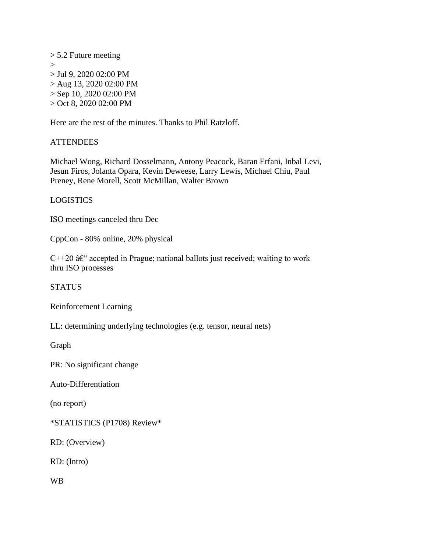> 5.2 Future meeting  $\rightarrow$ > Jul 9, 2020 02:00 PM > Aug 13, 2020 02:00 PM > Sep 10, 2020 02:00 PM > Oct 8, 2020 02:00 PM

Here are the rest of the minutes. Thanks to Phil Ratzloff.

# **ATTENDEES**

Michael Wong, Richard Dosselmann, Antony Peacock, Baran Erfani, Inbal Levi, Jesun Firos, Jolanta Opara, Kevin Deweese, Larry Lewis, Michael Chiu, Paul Preney, Rene Morell, Scott McMillan, Walter Brown

# LOGISTICS

ISO meetings canceled thru Dec

CppCon - 80% online, 20% physical

 $C++20$   $\hat{a}\hat{\epsilon}$  accepted in Prague; national ballots just received; waiting to work thru ISO processes

**STATUS** 

Reinforcement Learning

LL: determining underlying technologies (e.g. tensor, neural nets)

Graph

PR: No significant change

Auto-Differentiation

(no report)

\*STATISTICS (P1708) Review\*

RD: (Overview)

RD: (Intro)

WB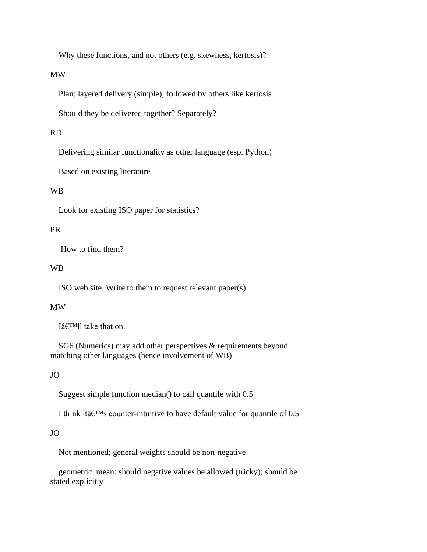Why these functions, and not others (e.g. skewness, kertosis)?

MW

Plan: layered delivery (simple), followed by others like kertosis

Should they be delivered together? Separately?

#### RD

Delivering similar functionality as other language (esp. Python)

Based on existing literature

## WB

Look for existing ISO paper for statistics?

## PR

How to find them?

## WB

ISO web site. Write to them to request relevant paper(s).

#### MW

I $\hat{a} \in$ <sup>TM</sup>ll take that on.

 SG6 (Numerics) may add other perspectives & requirements beyond matching other languages (hence involvement of WB)

#### JO

Suggest simple function median() to call quantile with 0.5

I think it  $\hat{a} \in T^M$ s counter-intuitive to have default value for quantile of 0.5

#### JO

Not mentioned; general weights should be non-negative

 geometric\_mean: should negative values be allowed (tricky); should be stated explicitly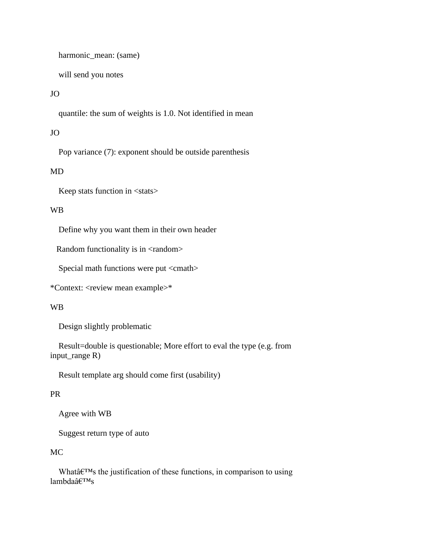harmonic\_mean: (same)

will send you notes

# JO

quantile: the sum of weights is 1.0. Not identified in mean

## JO

Pop variance (7): exponent should be outside parenthesis

# MD

Keep stats function in <stats>

#### WB

Define why you want them in their own header

Random functionality is in <random>

Special math functions were put <cmath>

\*Context: <review mean example>\*

# WB

Design slightly problematic

 Result=double is questionable; More effort to eval the type (e.g. from input\_range R)

Result template arg should come first (usability)

#### PR

Agree with WB

Suggest return type of auto

# MC

What $\hat{\mathbf{a}} \in \mathbb{M}$  the justification of these functions, in comparison to using  $lambda\hat{a}\epsilon^{TM}s$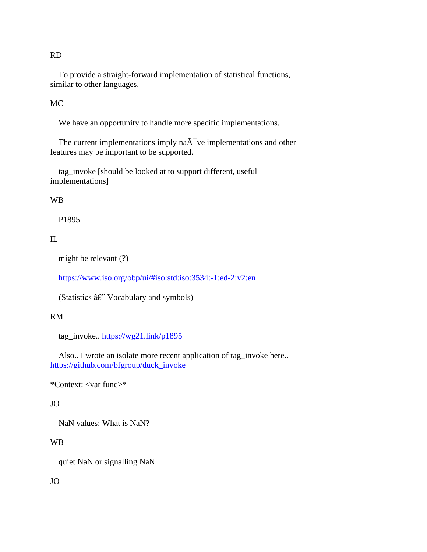RD

 To provide a straight-forward implementation of statistical functions, similar to other languages.

MC

We have an opportunity to handle more specific implementations.

The current implementations imply  $na\tilde{A}^-$  ve implementations and other features may be important to be supported.

 tag\_invoke [should be looked at to support different, useful implementations]

#### WB

P1895

# IL

might be relevant (?)

<https://www.iso.org/obp/ui/#iso:std:iso:3534:-1:ed-2:v2:en>

(Statistics  $\hat{a} \in Y$  Vocabulary and symbols)

# RM

tag\_invoke..<https://wg21.link/p1895>

 Also.. I wrote an isolate more recent application of tag\_invoke here.. [https://github.com/bfgroup/duck\\_invoke](https://github.com/bfgroup/duck_invoke)

\*Context: <var func>\*

# JO

NaN values: What is NaN?

# WB

quiet NaN or signalling NaN

# JO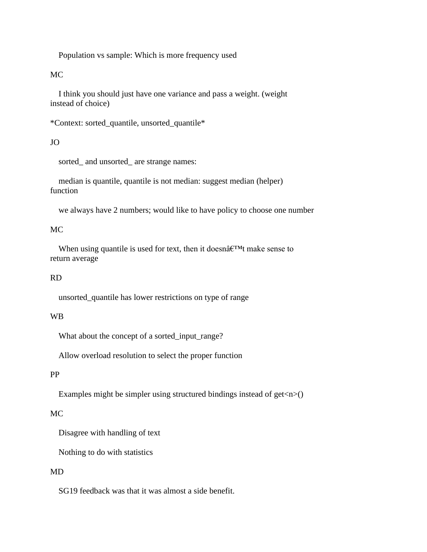Population vs sample: Which is more frequency used

MC

 I think you should just have one variance and pass a weight. (weight instead of choice)

\*Context: sorted\_quantile, unsorted\_quantile\*

JO

sorted\_ and unsorted\_ are strange names:

 median is quantile, quantile is not median: suggest median (helper) function

we always have 2 numbers; would like to have policy to choose one number

# MC

When using quantile is used for text, then it doesn $\hat{\mathfrak{a}} \in \mathbb{M}$  make sense to return average

#### RD

unsorted\_quantile has lower restrictions on type of range

## WB

What about the concept of a sorted\_input\_range?

Allow overload resolution to select the proper function

#### PP

Examples might be simpler using structured bindings instead of  $get \le n$  > ()

## MC

Disagree with handling of text

Nothing to do with statistics

## MD

SG19 feedback was that it was almost a side benefit.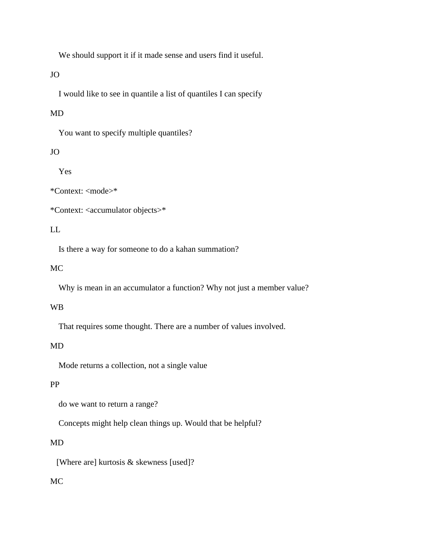We should support it if it made sense and users find it useful.

# JO

I would like to see in quantile a list of quantiles I can specify

# MD

You want to specify multiple quantiles?

# JO

Yes

\*Context: <mode>\*

\*Context: <accumulator objects>\*

# LL

Is there a way for someone to do a kahan summation?

# MC

Why is mean in an accumulator a function? Why not just a member value?

# WB

That requires some thought. There are a number of values involved.

# MD

Mode returns a collection, not a single value

# PP

do we want to return a range?

Concepts might help clean things up. Would that be helpful?

# MD

[Where are] kurtosis & skewness [used]?

# MC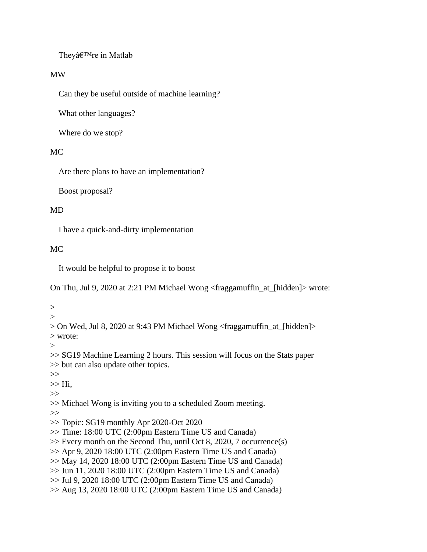They're in Matlab

# MW

Can they be useful outside of machine learning?

What other languages?

Where do we stop?

# MC

Are there plans to have an implementation?

Boost proposal?

# MD

I have a quick-and-dirty implementation

# MC

It would be helpful to propose it to boost

On Thu, Jul 9, 2020 at 2:21 PM Michael Wong <fraggamuffin\_at\_[hidden]> wrote:

 $>$  $\geq$ 

> On Wed, Jul 8, 2020 at 9:43 PM Michael Wong <fraggamuffin\_at\_[hidden]> > wrote:

 $\geq$ 

>> SG19 Machine Learning 2 hours. This session will focus on the Stats paper >> but can also update other topics.

 $>>$ 

 $>>$  Hi,

>>

>> Michael Wong is inviting you to a scheduled Zoom meeting.

>>

>> Topic: SG19 monthly Apr 2020-Oct 2020

>> Time: 18:00 UTC (2:00pm Eastern Time US and Canada)

>> Every month on the Second Thu, until Oct 8, 2020, 7 occurrence(s)

>> Apr 9, 2020 18:00 UTC (2:00pm Eastern Time US and Canada)

 $\gg$  May 14, 2020 18:00 UTC (2:00pm Eastern Time US and Canada)

>> Jun 11, 2020 18:00 UTC (2:00pm Eastern Time US and Canada)

>> Jul 9, 2020 18:00 UTC (2:00pm Eastern Time US and Canada)

 $\gg$  Aug 13, 2020 18:00 UTC (2:00pm Eastern Time US and Canada)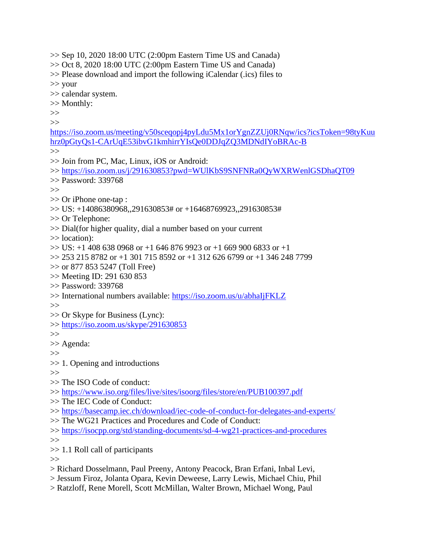$\gg$  Sep 10, 2020 18:00 UTC (2:00pm Eastern Time US and Canada)  $\gg$  Oct 8, 2020 18:00 UTC (2:00pm Eastern Time US and Canada) >> Please download and import the following iCalendar (.ics) files to >> your >> calendar system. >> Monthly: >>  $>>$ [https://iso.zoom.us/meeting/v50sceqopj4pyLdu5Mx1orYgnZZUj0RNqw/ics?icsToken=98tyKuu](https://iso.zoom.us/meeting/v50sceqopj4pyLdu5Mx1orYgnZZUj0RNqw/ics?icsToken=98tyKuuhrz0pGtyQs1-CArUqE53ibvG1kmhirrYIsQe0DDJqZQ3MDNdIYoBRAc-B) [hrz0pGtyQs1-CArUqE53ibvG1kmhirrYIsQe0DDJqZQ3MDNdIYoBRAc-B](https://iso.zoom.us/meeting/v50sceqopj4pyLdu5Mx1orYgnZZUj0RNqw/ics?icsToken=98tyKuuhrz0pGtyQs1-CArUqE53ibvG1kmhirrYIsQe0DDJqZQ3MDNdIYoBRAc-B)  $\rightarrow$ >> Join from PC, Mac, Linux, iOS or Android: >><https://iso.zoom.us/j/291630853?pwd=WUlKbS9SNFNRa0QyWXRWenlGSDhaQT09> >> Password: 339768 >> >> Or iPhone one-tap : >> US: +14086380968,,291630853# or +16468769923,,291630853# >> Or Telephone: >> Dial(for higher quality, dial a number based on your current >> location):  $\gg$  US: +1 408 638 0968 or +1 646 876 9923 or +1 669 900 6833 or +1  $\gg$  253 215 8782 or +1 301 715 8592 or +1 312 626 6799 or +1 346 248 7799 >> or 877 853 5247 (Toll Free) >> Meeting ID: 291 630 853 >> Password: 339768 >> International numbers available:<https://iso.zoom.us/u/abhaIjFKLZ> >> >> Or Skype for Business (Lync): >><https://iso.zoom.us/skype/291630853>  $>>$ >> Agenda: >> >> 1. Opening and introductions >> >> The ISO Code of conduct: >><https://www.iso.org/files/live/sites/isoorg/files/store/en/PUB100397.pdf> >> The IEC Code of Conduct: >><https://basecamp.iec.ch/download/iec-code-of-conduct-for-delegates-and-experts/> >> The WG21 Practices and Procedures and Code of Conduct: >><https://isocpp.org/std/standing-documents/sd-4-wg21-practices-and-procedures> >> >> 1.1 Roll call of participants >>

> Richard Dosselmann, Paul Preeny, Antony Peacock, Bran Erfani, Inbal Levi,

> Jessum Firoz, Jolanta Opara, Kevin Deweese, Larry Lewis, Michael Chiu, Phil

> Ratzloff, Rene Morell, Scott McMillan, Walter Brown, Michael Wong, Paul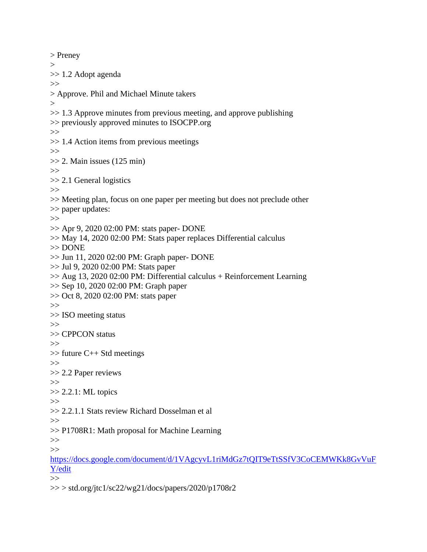> Preney  $\geq$ >> 1.2 Adopt agenda  $\gg$ > Approve. Phil and Michael Minute takers  $>$  $\gg$  1.3 Approve minutes from previous meeting, and approve publishing >> previously approved minutes to ISOCPP.org >> >> 1.4 Action items from previous meetings >>  $\gg$  2. Main issues (125 min)  $>>$ >> 2.1 General logistics  $>>$ >> Meeting plan, focus on one paper per meeting but does not preclude other >> paper updates:  $>>$ >> Apr 9, 2020 02:00 PM: stats paper- DONE >> May 14, 2020 02:00 PM: Stats paper replaces Differential calculus >> DONE >> Jun 11, 2020 02:00 PM: Graph paper- DONE >> Jul 9, 2020 02:00 PM: Stats paper >> Aug 13, 2020 02:00 PM: Differential calculus + Reinforcement Learning >> Sep 10, 2020 02:00 PM: Graph paper >> Oct 8, 2020 02:00 PM: stats paper >> >> ISO meeting status >> >> CPPCON status >> >> future C++ Std meetings >> >> 2.2 Paper reviews >>  $\gg$  2.2.1: ML topics >> >> 2.2.1.1 Stats review Richard Dosselman et al >> >> P1708R1: Math proposal for Machine Learning >> >> [https://docs.google.com/document/d/1VAgcyvL1riMdGz7tQIT9eTtSSfV3CoCEMWKk8GvVuF](https://docs.google.com/document/d/1VAgcyvL1riMdGz7tQIT9eTtSSfV3CoCEMWKk8GvVuFY/edit) [Y/edit](https://docs.google.com/document/d/1VAgcyvL1riMdGz7tQIT9eTtSSfV3CoCEMWKk8GvVuFY/edit) >>

 $>>$  std.org/jtc1/sc22/wg21/docs/papers/2020/p1708r2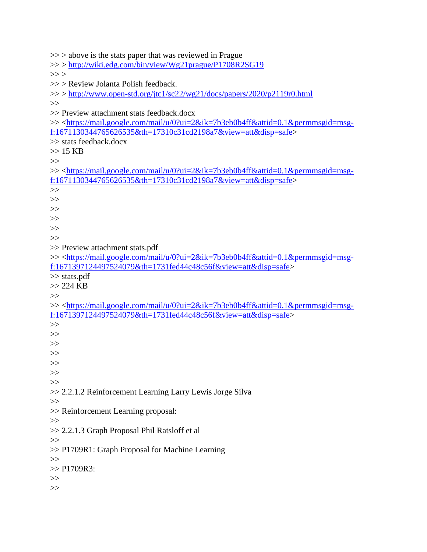$\gg$  > above is the stats paper that was reviewed in Prague >> ><http://wiki.edg.com/bin/view/Wg21prague/P1708R2SG19>  $>>$ >> > Review Jolanta Polish feedback. >> ><http://www.open-std.org/jtc1/sc22/wg21/docs/papers/2020/p2119r0.html>  $\gg$ >> Preview attachment stats feedback.docx >> [<https://mail.google.com/mail/u/0?ui=2&ik=7b3eb0b4ff&attid=0.1&permmsgid=msg](https://mail.google.com/mail/u/0?ui=2&ik=7b3eb0b4ff&attid=0.1&permmsgid=msg-f:1671130344765626535&th=17310c31cd2198a7&view=att&disp=safe)[f:1671130344765626535&th=17310c31cd2198a7&view=att&disp=safe>](https://mail.google.com/mail/u/0?ui=2&ik=7b3eb0b4ff&attid=0.1&permmsgid=msg-f:1671130344765626535&th=17310c31cd2198a7&view=att&disp=safe) >> stats feedback.docx  $>> 15$  KB  $>>$ >> [<https://mail.google.com/mail/u/0?ui=2&ik=7b3eb0b4ff&attid=0.1&permmsgid=msg](https://mail.google.com/mail/u/0?ui=2&ik=7b3eb0b4ff&attid=0.1&permmsgid=msg-f:1671130344765626535&th=17310c31cd2198a7&view=att&disp=safe)[f:1671130344765626535&th=17310c31cd2198a7&view=att&disp=safe>](https://mail.google.com/mail/u/0?ui=2&ik=7b3eb0b4ff&attid=0.1&permmsgid=msg-f:1671130344765626535&th=17310c31cd2198a7&view=att&disp=safe) >>  $>\gt$ >>  $>>$ >> >> >> Preview attachment stats.pdf >> [<https://mail.google.com/mail/u/0?ui=2&ik=7b3eb0b4ff&attid=0.1&permmsgid=msg](https://mail.google.com/mail/u/0?ui=2&ik=7b3eb0b4ff&attid=0.1&permmsgid=msg-f:1671397124497524079&th=1731fed44c48c56f&view=att&disp=safe)[f:1671397124497524079&th=1731fed44c48c56f&view=att&disp=safe>](https://mail.google.com/mail/u/0?ui=2&ik=7b3eb0b4ff&attid=0.1&permmsgid=msg-f:1671397124497524079&th=1731fed44c48c56f&view=att&disp=safe) >> stats.pdf >> 224 KB >> >> [<https://mail.google.com/mail/u/0?ui=2&ik=7b3eb0b4ff&attid=0.1&permmsgid=msg](https://mail.google.com/mail/u/0?ui=2&ik=7b3eb0b4ff&attid=0.1&permmsgid=msg-f:1671397124497524079&th=1731fed44c48c56f&view=att&disp=safe)[f:1671397124497524079&th=1731fed44c48c56f&view=att&disp=safe>](https://mail.google.com/mail/u/0?ui=2&ik=7b3eb0b4ff&attid=0.1&permmsgid=msg-f:1671397124497524079&th=1731fed44c48c56f&view=att&disp=safe) >>  $>>$ >> >> >> >> >> >> 2.2.1.2 Reinforcement Learning Larry Lewis Jorge Silva  $\gg$ >> Reinforcement Learning proposal:  $>>$ >> 2.2.1.3 Graph Proposal Phil Ratsloff et al >> >> P1709R1: Graph Proposal for Machine Learning >>  $>> P1709R3$ : >>  $\gg$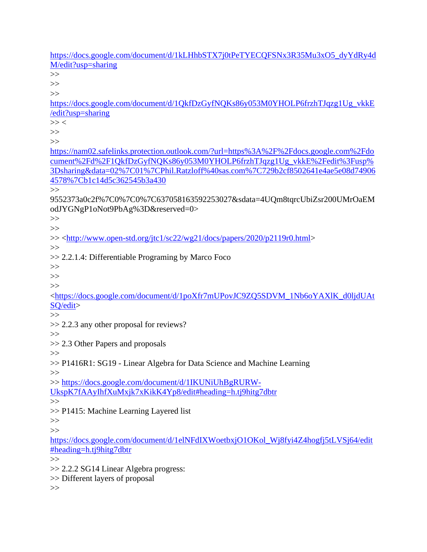[https://docs.google.com/document/d/1kLHhbSTX7j0tPeTYECQFSNx3R35Mu3xO5\\_dyYdRy4d](https://docs.google.com/document/d/1kLHhbSTX7j0tPeTYECQFSNx3R35Mu3xO5_dyYdRy4dM/edit?usp=sharing) [M/edit?usp=sharing](https://docs.google.com/document/d/1kLHhbSTX7j0tPeTYECQFSNx3R35Mu3xO5_dyYdRy4dM/edit?usp=sharing) >> >> >> [https://docs.google.com/document/d/1QkfDzGyfNQKs86y053M0YHOLP6frzhTJqzg1Ug\\_vkkE](https://docs.google.com/document/d/1QkfDzGyfNQKs86y053M0YHOLP6frzhTJqzg1Ug_vkkE/edit?usp=sharing) [/edit?usp=sharing](https://docs.google.com/document/d/1QkfDzGyfNQKs86y053M0YHOLP6frzhTJqzg1Ug_vkkE/edit?usp=sharing)  $>>$ >> >> [https://nam02.safelinks.protection.outlook.com/?url=https%3A%2F%2Fdocs.google.com%2Fdo](https://nam02.safelinks.protection.outlook.com/?url=https%3A%2F%2Fdocs.google.com%2Fdocument%2Fd%2F1QkfDzGyfNQKs86y053M0YHOLP6frzhTJqzg1Ug_vkkE%2Fedit%3Fusp%3Dsharing&data=02%7C01%7CPhil.Ratzloff%40sas.com%7C729b2cf8502641e4ae5e08d749064578%7Cb1c14d5c362545b3a430) [cument%2Fd%2F1QkfDzGyfNQKs86y053M0YHOLP6frzhTJqzg1Ug\\_vkkE%2Fedit%3Fusp%](https://nam02.safelinks.protection.outlook.com/?url=https%3A%2F%2Fdocs.google.com%2Fdocument%2Fd%2F1QkfDzGyfNQKs86y053M0YHOLP6frzhTJqzg1Ug_vkkE%2Fedit%3Fusp%3Dsharing&data=02%7C01%7CPhil.Ratzloff%40sas.com%7C729b2cf8502641e4ae5e08d749064578%7Cb1c14d5c362545b3a430) [3Dsharing&data=02%7C01%7CPhil.Ratzloff%40sas.com%7C729b2cf8502641e4ae5e08d74906](https://nam02.safelinks.protection.outlook.com/?url=https%3A%2F%2Fdocs.google.com%2Fdocument%2Fd%2F1QkfDzGyfNQKs86y053M0YHOLP6frzhTJqzg1Ug_vkkE%2Fedit%3Fusp%3Dsharing&data=02%7C01%7CPhil.Ratzloff%40sas.com%7C729b2cf8502641e4ae5e08d749064578%7Cb1c14d5c362545b3a430) [4578%7Cb1c14d5c362545b3a430](https://nam02.safelinks.protection.outlook.com/?url=https%3A%2F%2Fdocs.google.com%2Fdocument%2Fd%2F1QkfDzGyfNQKs86y053M0YHOLP6frzhTJqzg1Ug_vkkE%2Fedit%3Fusp%3Dsharing&data=02%7C01%7CPhil.Ratzloff%40sas.com%7C729b2cf8502641e4ae5e08d749064578%7Cb1c14d5c362545b3a430) >> 9552373a0c2f%7C0%7C0%7C637058163592253027&sdata=4UQm8tqrcUbiZsr200UMrOaEM odJYGNgP1oNot9PbAg%3D&reserved=0> >> >> >> [<http://www.open-std.org/jtc1/sc22/wg21/docs/papers/2020/p2119r0.html>](http://www.open-std.org/jtc1/sc22/wg21/docs/papers/2020/p2119r0.html) >> >> 2.2.1.4: Differentiable Programing by Marco Foco >>  $>\gt$ >> [<https://docs.google.com/document/d/1poXfr7mUPovJC9ZQ5SDVM\\_1Nb6oYAXlK\\_d0ljdUAt](https://docs.google.com/document/d/1poXfr7mUPovJC9ZQ5SDVM_1Nb6oYAXlK_d0ljdUAtSQ/edit) [SQ/edit>](https://docs.google.com/document/d/1poXfr7mUPovJC9ZQ5SDVM_1Nb6oYAXlK_d0ljdUAtSQ/edit)  $\gg$ >> 2.2.3 any other proposal for reviews? >> >> 2.3 Other Papers and proposals >> >> P1416R1: SG19 - Linear Algebra for Data Science and Machine Learning >> >> [https://docs.google.com/document/d/1IKUNiUhBgRURW-](https://docs.google.com/document/d/1IKUNiUhBgRURW-UkspK7fAAyIhfXuMxjk7xKikK4Yp8/edit#heading=h.tj9hitg7dbtr)[UkspK7fAAyIhfXuMxjk7xKikK4Yp8/edit#heading=h.tj9hitg7dbtr](https://docs.google.com/document/d/1IKUNiUhBgRURW-UkspK7fAAyIhfXuMxjk7xKikK4Yp8/edit#heading=h.tj9hitg7dbtr)  $\rightarrow$ >> P1415: Machine Learning Layered list >> >> [https://docs.google.com/document/d/1elNFdIXWoetbxjO1OKol\\_Wj8fyi4Z4hogfj5tLVSj64/edit](https://docs.google.com/document/d/1elNFdIXWoetbxjO1OKol_Wj8fyi4Z4hogfj5tLVSj64/edit#heading=h.tj9hitg7dbtr) [#heading=h.tj9hitg7dbtr](https://docs.google.com/document/d/1elNFdIXWoetbxjO1OKol_Wj8fyi4Z4hogfj5tLVSj64/edit#heading=h.tj9hitg7dbtr)  $\gg$ >> 2.2.2 SG14 Linear Algebra progress: >> Different layers of proposal

 $\gg$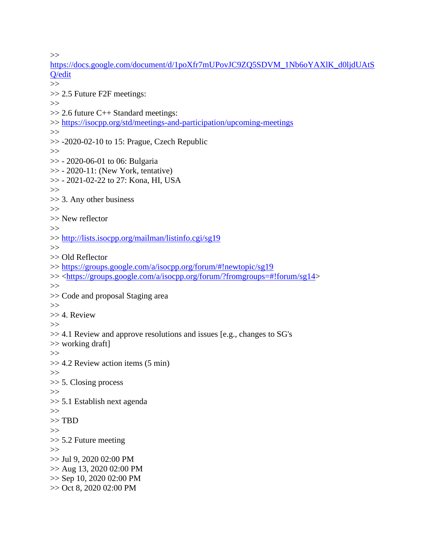>>

[https://docs.google.com/document/d/1poXfr7mUPovJC9ZQ5SDVM\\_1Nb6oYAXlK\\_d0ljdUAtS](https://docs.google.com/document/d/1poXfr7mUPovJC9ZQ5SDVM_1Nb6oYAXlK_d0ljdUAtSQ/edit) [Q/edit](https://docs.google.com/document/d/1poXfr7mUPovJC9ZQ5SDVM_1Nb6oYAXlK_d0ljdUAtSQ/edit) >> >> 2.5 Future F2F meetings:  $>>$ >> 2.6 future C++ Standard meetings: >><https://isocpp.org/std/meetings-and-participation/upcoming-meetings> >>  $\gg$  -2020-02-10 to 15: Prague, Czech Republic >> >> - 2020-06-01 to 06: Bulgaria  $\gg$  - 2020-11: (New York, tentative) >> - 2021-02-22 to 27: Kona, HI, USA  $>>$ >> 3. Any other business >> >> New reflector >> >><http://lists.isocpp.org/mailman/listinfo.cgi/sg19> >> >> Old Reflector >><https://groups.google.com/a/isocpp.org/forum/#!newtopic/sg19> >> [<https://groups.google.com/a/isocpp.org/forum/?fromgroups=#!forum/sg14>](https://groups.google.com/a/isocpp.org/forum/?fromgroups=#!forum/sg14)  $\gg$ >> Code and proposal Staging area >> >> 4. Review  $>\gt$ >> 4.1 Review and approve resolutions and issues [e.g., changes to SG's >> working draft] >> >> 4.2 Review action items (5 min)  $>>$ >> 5. Closing process >> >> 5.1 Establish next agenda >> >> TBD >> >> 5.2 Future meeting >> >> Jul 9, 2020 02:00 PM >> Aug 13, 2020 02:00 PM >> Sep 10, 2020 02:00 PM >> Oct 8, 2020 02:00 PM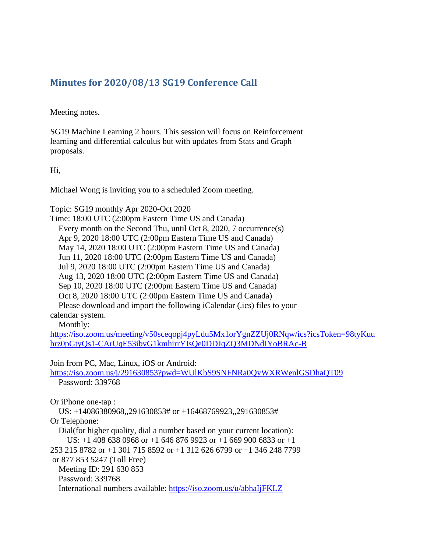# <span id="page-37-0"></span>**Minutes for 2020/08/13 SG19 Conference Call**

Meeting notes.

SG19 Machine Learning 2 hours. This session will focus on Reinforcement learning and differential calculus but with updates from Stats and Graph proposals.

Hi,

Michael Wong is inviting you to a scheduled Zoom meeting.

Topic: SG19 monthly Apr 2020-Oct 2020

Time: 18:00 UTC (2:00pm Eastern Time US and Canada) Every month on the Second Thu, until Oct 8, 2020, 7 occurrence(s) Apr 9, 2020 18:00 UTC (2:00pm Eastern Time US and Canada) May 14, 2020 18:00 UTC (2:00pm Eastern Time US and Canada) Jun 11, 2020 18:00 UTC (2:00pm Eastern Time US and Canada) Jul 9, 2020 18:00 UTC (2:00pm Eastern Time US and Canada) Aug 13, 2020 18:00 UTC (2:00pm Eastern Time US and Canada) Sep 10, 2020 18:00 UTC (2:00pm Eastern Time US and Canada) Oct 8, 2020 18:00 UTC (2:00pm Eastern Time US and Canada) Please download and import the following iCalendar (.ics) files to your calendar system.

Monthly:

[https://iso.zoom.us/meeting/v50sceqopj4pyLdu5Mx1orYgnZZUj0RNqw/ics?icsToken=98tyKuu](https://iso.zoom.us/meeting/v50sceqopj4pyLdu5Mx1orYgnZZUj0RNqw/ics?icsToken=98tyKuuhrz0pGtyQs1-CArUqE53ibvG1kmhirrYIsQe0DDJqZQ3MDNdIYoBRAc-B) [hrz0pGtyQs1-CArUqE53ibvG1kmhirrYIsQe0DDJqZQ3MDNdIYoBRAc-B](https://iso.zoom.us/meeting/v50sceqopj4pyLdu5Mx1orYgnZZUj0RNqw/ics?icsToken=98tyKuuhrz0pGtyQs1-CArUqE53ibvG1kmhirrYIsQe0DDJqZQ3MDNdIYoBRAc-B)

Join from PC, Mac, Linux, iOS or Android:

<https://iso.zoom.us/j/291630853?pwd=WUlKbS9SNFNRa0QyWXRWenlGSDhaQT09> Password: 339768

Or iPhone one-tap :

US: +14086380968,,291630853# or +16468769923,,291630853#

Or Telephone:

Dial(for higher quality, dial a number based on your current location):

US:  $+1$  408 638 0968 or  $+1$  646 876 9923 or  $+1$  669 900 6833 or  $+1$ 253 215 8782 or +1 301 715 8592 or +1 312 626 6799 or +1 346 248 7799 or 877 853 5247 (Toll Free) Meeting ID: 291 630 853 Password: 339768

International numbers available:<https://iso.zoom.us/u/abhaIjFKLZ>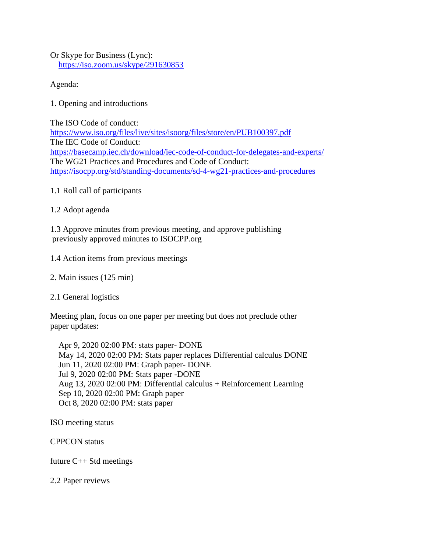Or Skype for Business (Lync): <https://iso.zoom.us/skype/291630853>

Agenda:

1. Opening and introductions

The ISO Code of conduct: <https://www.iso.org/files/live/sites/isoorg/files/store/en/PUB100397.pdf> The IEC Code of Conduct: <https://basecamp.iec.ch/download/iec-code-of-conduct-for-delegates-and-experts/> The WG21 Practices and Procedures and Code of Conduct: <https://isocpp.org/std/standing-documents/sd-4-wg21-practices-and-procedures>

1.1 Roll call of participants

1.2 Adopt agenda

1.3 Approve minutes from previous meeting, and approve publishing previously approved minutes to ISOCPP.org

1.4 Action items from previous meetings

2. Main issues (125 min)

2.1 General logistics

Meeting plan, focus on one paper per meeting but does not preclude other paper updates:

 Apr 9, 2020 02:00 PM: stats paper- DONE May 14, 2020 02:00 PM: Stats paper replaces Differential calculus DONE Jun 11, 2020 02:00 PM: Graph paper- DONE Jul 9, 2020 02:00 PM: Stats paper -DONE Aug 13, 2020 02:00 PM: Differential calculus + Reinforcement Learning Sep 10, 2020 02:00 PM: Graph paper Oct 8, 2020 02:00 PM: stats paper

ISO meeting status

CPPCON status

future C++ Std meetings

2.2 Paper reviews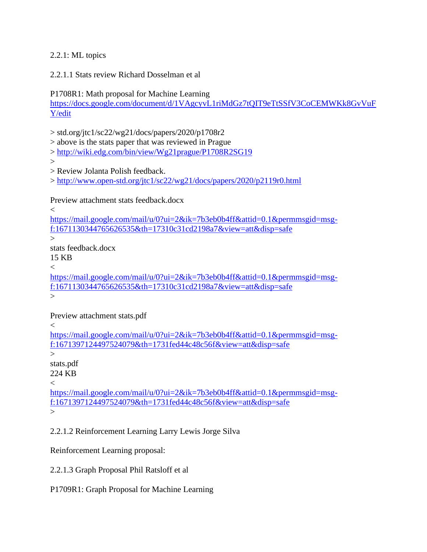# 2.2.1: ML topics

2.2.1.1 Stats review Richard Dosselman et al

P1708R1: Math proposal for Machine Learning

[https://docs.google.com/document/d/1VAgcyvL1riMdGz7tQIT9eTtSSfV3CoCEMWKk8GvVuF](https://docs.google.com/document/d/1VAgcyvL1riMdGz7tQIT9eTtSSfV3CoCEMWKk8GvVuFY/edit) [Y/edit](https://docs.google.com/document/d/1VAgcyvL1riMdGz7tQIT9eTtSSfV3CoCEMWKk8GvVuFY/edit)

> std.org/jtc1/sc22/wg21/docs/papers/2020/p1708r2

> above is the stats paper that was reviewed in Prague

><http://wiki.edg.com/bin/view/Wg21prague/P1708R2SG19>

 $\geq$ 

> Review Jolanta Polish feedback.

><http://www.open-std.org/jtc1/sc22/wg21/docs/papers/2020/p2119r0.html>

Preview attachment stats feedback.docx

 $\overline{\epsilon}$ 

[https://mail.google.com/mail/u/0?ui=2&ik=7b3eb0b4ff&attid=0.1&permmsgid=msg](https://mail.google.com/mail/u/0?ui=2&ik=7b3eb0b4ff&attid=0.1&permmsgid=msg-f:1671130344765626535&th=17310c31cd2198a7&view=att&disp=safe)[f:1671130344765626535&th=17310c31cd2198a7&view=att&disp=safe](https://mail.google.com/mail/u/0?ui=2&ik=7b3eb0b4ff&attid=0.1&permmsgid=msg-f:1671130344765626535&th=17310c31cd2198a7&view=att&disp=safe)

>

stats feedback.docx

15 KB

 $\lt$ 

[https://mail.google.com/mail/u/0?ui=2&ik=7b3eb0b4ff&attid=0.1&permmsgid=msg](https://mail.google.com/mail/u/0?ui=2&ik=7b3eb0b4ff&attid=0.1&permmsgid=msg-f:1671130344765626535&th=17310c31cd2198a7&view=att&disp=safe)[f:1671130344765626535&th=17310c31cd2198a7&view=att&disp=safe](https://mail.google.com/mail/u/0?ui=2&ik=7b3eb0b4ff&attid=0.1&permmsgid=msg-f:1671130344765626535&th=17310c31cd2198a7&view=att&disp=safe)

 $\geq$ 

Preview attachment stats.pdf

 $\lt$ 

[https://mail.google.com/mail/u/0?ui=2&ik=7b3eb0b4ff&attid=0.1&permmsgid=msg](https://mail.google.com/mail/u/0?ui=2&ik=7b3eb0b4ff&attid=0.1&permmsgid=msg-f:1671397124497524079&th=1731fed44c48c56f&view=att&disp=safe)[f:1671397124497524079&th=1731fed44c48c56f&view=att&disp=safe](https://mail.google.com/mail/u/0?ui=2&ik=7b3eb0b4ff&attid=0.1&permmsgid=msg-f:1671397124497524079&th=1731fed44c48c56f&view=att&disp=safe)

 $\geq$ 

stats.pdf 224 KB

 $\overline{<}$ 

[https://mail.google.com/mail/u/0?ui=2&ik=7b3eb0b4ff&attid=0.1&permmsgid=msg](https://mail.google.com/mail/u/0?ui=2&ik=7b3eb0b4ff&attid=0.1&permmsgid=msg-f:1671397124497524079&th=1731fed44c48c56f&view=att&disp=safe)[f:1671397124497524079&th=1731fed44c48c56f&view=att&disp=safe](https://mail.google.com/mail/u/0?ui=2&ik=7b3eb0b4ff&attid=0.1&permmsgid=msg-f:1671397124497524079&th=1731fed44c48c56f&view=att&disp=safe)  $\geq$ 

2.2.1.2 Reinforcement Learning Larry Lewis Jorge Silva

Reinforcement Learning proposal:

2.2.1.3 Graph Proposal Phil Ratsloff et al

P1709R1: Graph Proposal for Machine Learning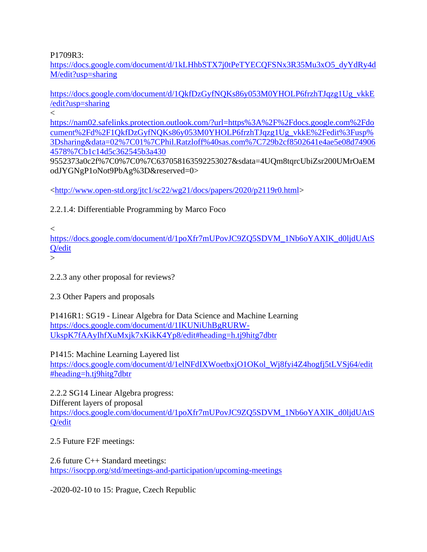P1709R3:

[https://docs.google.com/document/d/1kLHhbSTX7j0tPeTYECQFSNx3R35Mu3xO5\\_dyYdRy4d](https://docs.google.com/document/d/1kLHhbSTX7j0tPeTYECQFSNx3R35Mu3xO5_dyYdRy4dM/edit?usp=sharing) [M/edit?usp=sharing](https://docs.google.com/document/d/1kLHhbSTX7j0tPeTYECQFSNx3R35Mu3xO5_dyYdRy4dM/edit?usp=sharing)

[https://docs.google.com/document/d/1QkfDzGyfNQKs86y053M0YHOLP6frzhTJqzg1Ug\\_vkkE](https://docs.google.com/document/d/1QkfDzGyfNQKs86y053M0YHOLP6frzhTJqzg1Ug_vkkE/edit?usp=sharing) [/edit?usp=sharing](https://docs.google.com/document/d/1QkfDzGyfNQKs86y053M0YHOLP6frzhTJqzg1Ug_vkkE/edit?usp=sharing)

 $\lt$ 

[https://nam02.safelinks.protection.outlook.com/?url=https%3A%2F%2Fdocs.google.com%2Fdo](https://nam02.safelinks.protection.outlook.com/?url=https%3A%2F%2Fdocs.google.com%2Fdocument%2Fd%2F1QkfDzGyfNQKs86y053M0YHOLP6frzhTJqzg1Ug_vkkE%2Fedit%3Fusp%3Dsharing&data=02%7C01%7CPhil.Ratzloff%40sas.com%7C729b2cf8502641e4ae5e08d749064578%7Cb1c14d5c362545b3a430) [cument%2Fd%2F1QkfDzGyfNQKs86y053M0YHOLP6frzhTJqzg1Ug\\_vkkE%2Fedit%3Fusp%](https://nam02.safelinks.protection.outlook.com/?url=https%3A%2F%2Fdocs.google.com%2Fdocument%2Fd%2F1QkfDzGyfNQKs86y053M0YHOLP6frzhTJqzg1Ug_vkkE%2Fedit%3Fusp%3Dsharing&data=02%7C01%7CPhil.Ratzloff%40sas.com%7C729b2cf8502641e4ae5e08d749064578%7Cb1c14d5c362545b3a430) [3Dsharing&data=02%7C01%7CPhil.Ratzloff%40sas.com%7C729b2cf8502641e4ae5e08d74906](https://nam02.safelinks.protection.outlook.com/?url=https%3A%2F%2Fdocs.google.com%2Fdocument%2Fd%2F1QkfDzGyfNQKs86y053M0YHOLP6frzhTJqzg1Ug_vkkE%2Fedit%3Fusp%3Dsharing&data=02%7C01%7CPhil.Ratzloff%40sas.com%7C729b2cf8502641e4ae5e08d749064578%7Cb1c14d5c362545b3a430) [4578%7Cb1c14d5c362545b3a430](https://nam02.safelinks.protection.outlook.com/?url=https%3A%2F%2Fdocs.google.com%2Fdocument%2Fd%2F1QkfDzGyfNQKs86y053M0YHOLP6frzhTJqzg1Ug_vkkE%2Fedit%3Fusp%3Dsharing&data=02%7C01%7CPhil.Ratzloff%40sas.com%7C729b2cf8502641e4ae5e08d749064578%7Cb1c14d5c362545b3a430)

9552373a0c2f%7C0%7C0%7C637058163592253027&sdata=4UQm8tqrcUbiZsr200UMrOaEM odJYGNgP1oNot9PbAg%3D&reserved=0>

[<http://www.open-std.org/jtc1/sc22/wg21/docs/papers/2020/p2119r0.html>](http://www.open-std.org/jtc1/sc22/wg21/docs/papers/2020/p2119r0.html)

2.2.1.4: Differentiable Programming by Marco Foco

 $\lt$ 

[https://docs.google.com/document/d/1poXfr7mUPovJC9ZQ5SDVM\\_1Nb6oYAXlK\\_d0ljdUAtS](https://docs.google.com/document/d/1poXfr7mUPovJC9ZQ5SDVM_1Nb6oYAXlK_d0ljdUAtSQ/edit) [Q/edit](https://docs.google.com/document/d/1poXfr7mUPovJC9ZQ5SDVM_1Nb6oYAXlK_d0ljdUAtSQ/edit)

 $\geq$ 

2.2.3 any other proposal for reviews?

2.3 Other Papers and proposals

P1416R1: SG19 - Linear Algebra for Data Science and Machine Learning [https://docs.google.com/document/d/1IKUNiUhBgRURW-](https://docs.google.com/document/d/1IKUNiUhBgRURW-UkspK7fAAyIhfXuMxjk7xKikK4Yp8/edit#heading=h.tj9hitg7dbtr)[UkspK7fAAyIhfXuMxjk7xKikK4Yp8/edit#heading=h.tj9hitg7dbtr](https://docs.google.com/document/d/1IKUNiUhBgRURW-UkspK7fAAyIhfXuMxjk7xKikK4Yp8/edit#heading=h.tj9hitg7dbtr)

P1415: Machine Learning Layered list

[https://docs.google.com/document/d/1elNFdIXWoetbxjO1OKol\\_Wj8fyi4Z4hogfj5tLVSj64/edit](https://docs.google.com/document/d/1elNFdIXWoetbxjO1OKol_Wj8fyi4Z4hogfj5tLVSj64/edit#heading=h.tj9hitg7dbtr) [#heading=h.tj9hitg7dbtr](https://docs.google.com/document/d/1elNFdIXWoetbxjO1OKol_Wj8fyi4Z4hogfj5tLVSj64/edit#heading=h.tj9hitg7dbtr)

2.2.2 SG14 Linear Algebra progress:

Different layers of proposal [https://docs.google.com/document/d/1poXfr7mUPovJC9ZQ5SDVM\\_1Nb6oYAXlK\\_d0ljdUAtS](https://docs.google.com/document/d/1poXfr7mUPovJC9ZQ5SDVM_1Nb6oYAXlK_d0ljdUAtSQ/edit) [Q/edit](https://docs.google.com/document/d/1poXfr7mUPovJC9ZQ5SDVM_1Nb6oYAXlK_d0ljdUAtSQ/edit)

2.5 Future F2F meetings:

2.6 future C++ Standard meetings: <https://isocpp.org/std/meetings-and-participation/upcoming-meetings>

-2020-02-10 to 15: Prague, Czech Republic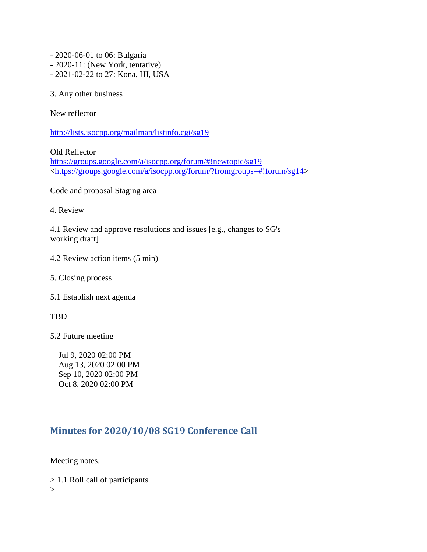- 2020-06-01 to 06: Bulgaria

- 2020-11: (New York, tentative)
- 2021-02-22 to 27: Kona, HI, USA

3. Any other business

New reflector

<http://lists.isocpp.org/mailman/listinfo.cgi/sg19>

Old Reflector <https://groups.google.com/a/isocpp.org/forum/#!newtopic/sg19> [<https://groups.google.com/a/isocpp.org/forum/?fromgroups=#!forum/sg14>](https://groups.google.com/a/isocpp.org/forum/?fromgroups=#!forum/sg14)

Code and proposal Staging area

4. Review

4.1 Review and approve resolutions and issues [e.g., changes to SG's working draft]

- 4.2 Review action items (5 min)
- 5. Closing process
- 5.1 Establish next agenda

TBD

5.2 Future meeting

 Jul 9, 2020 02:00 PM Aug 13, 2020 02:00 PM Sep 10, 2020 02:00 PM Oct 8, 2020 02:00 PM

# <span id="page-41-0"></span>**Minutes for 2020/10/08 SG19 Conference Call**

Meeting notes.

> 1.1 Roll call of participants  $\geq$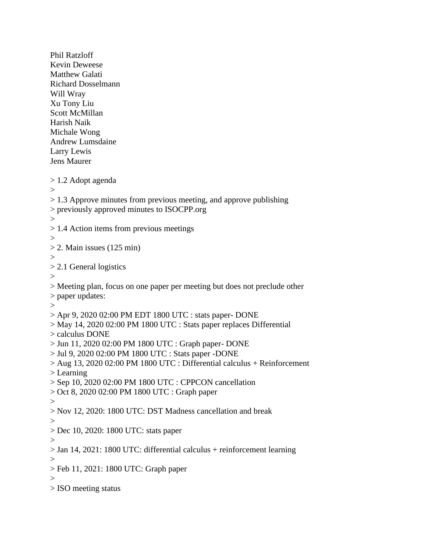Phil Ratzloff Kevin Deweese Matthew Galati Richard Dosselmann Will Wray Xu Tony Liu Scott McMillan Harish Naik Michale Wong Andrew Lumsdaine Larry Lewis Jens Maurer > 1.2 Adopt agenda  $\geq$  $> 1.3$  Approve minutes from previous meeting, and approve publishing > previously approved minutes to ISOCPP.org  $>$ > 1.4 Action items from previous meetings  $>$  $> 2$ . Main issues (125 min)  $>$ > 2.1 General logistics > > Meeting plan, focus on one paper per meeting but does not preclude other > paper updates:  $\geq$ > Apr 9, 2020 02:00 PM EDT 1800 UTC : stats paper- DONE > May 14, 2020 02:00 PM 1800 UTC : Stats paper replaces Differential > calculus DONE > Jun 11, 2020 02:00 PM 1800 UTC : Graph paper- DONE > Jul 9, 2020 02:00 PM 1800 UTC : Stats paper -DONE  $>$  Aug 13, 2020 02:00 PM 1800 UTC : Differential calculus + Reinforcement > Learning > Sep 10, 2020 02:00 PM 1800 UTC : CPPCON cancellation > Oct 8, 2020 02:00 PM 1800 UTC : Graph paper  $>$ > Nov 12, 2020: 1800 UTC: DST Madness cancellation and break > > Dec 10, 2020: 1800 UTC: stats paper  $\geq$ > Jan 14, 2021: 1800 UTC: differential calculus + reinforcement learning  $\geq$ > Feb 11, 2021: 1800 UTC: Graph paper  $\geq$ > ISO meeting status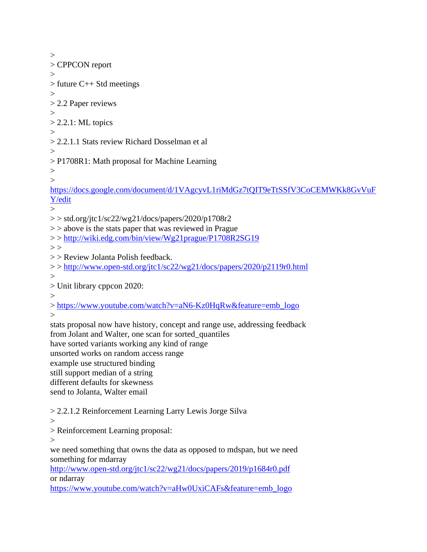$>$ > CPPCON report  $>$ > future C++ Std meetings > > 2.2 Paper reviews  $\geq$  $> 2.2.1$ : ML topics > > 2.2.1.1 Stats review Richard Dosselman et al  $\rightarrow$ > P1708R1: Math proposal for Machine Learning  $>$  $\geq$ [https://docs.google.com/document/d/1VAgcyvL1riMdGz7tQIT9eTtSSfV3CoCEMWKk8GvVuF](https://docs.google.com/document/d/1VAgcyvL1riMdGz7tQIT9eTtSSfV3CoCEMWKk8GvVuFY/edit) [Y/edit](https://docs.google.com/document/d/1VAgcyvL1riMdGz7tQIT9eTtSSfV3CoCEMWKk8GvVuFY/edit)  $\geq$  $>>$ std.org/jtc1/sc22/wg21/docs/papers/2020/p1708r2  $\ge$  > above is the stats paper that was reviewed in Prague > ><http://wiki.edg.com/bin/view/Wg21prague/P1708R2SG19>  $>$ > > Review Jolanta Polish feedback. > ><http://www.open-std.org/jtc1/sc22/wg21/docs/papers/2020/p2119r0.html>  $\geq$ > Unit library cppcon 2020:  $>$ > [https://www.youtube.com/watch?v=aN6-Kz0HqRw&feature=emb\\_logo](https://www.youtube.com/watch?v=aN6-Kz0HqRw&feature=emb_logo)  $\geq$ stats proposal now have history, concept and range use, addressing feedback from Jolant and Walter, one scan for sorted\_quantiles have sorted variants working any kind of range unsorted works on random access range example use structured binding still support median of a string different defaults for skewness send to Jolanta, Walter email > 2.2.1.2 Reinforcement Learning Larry Lewis Jorge Silva > > Reinforcement Learning proposal:  $\geq$ we need something that owns the data as opposed to mdspan, but we need something for mdarray <http://www.open-std.org/jtc1/sc22/wg21/docs/papers/2019/p1684r0.pdf> or ndarray [https://www.youtube.com/watch?v=aHw0UxiCAFs&feature=emb\\_logo](https://www.youtube.com/watch?v=aHw0UxiCAFs&feature=emb_logo)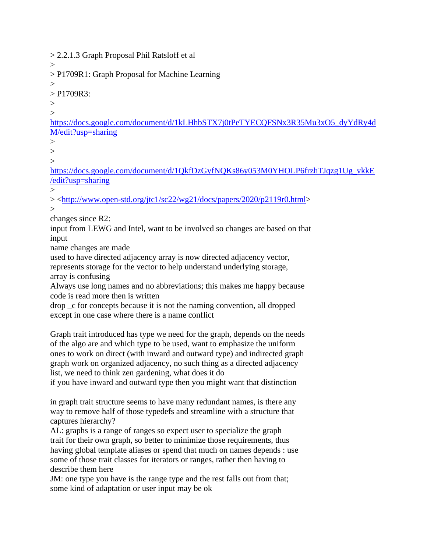> 2.2.1.3 Graph Proposal Phil Ratsloff et al

> P1709R1: Graph Proposal for Machine Learning

 $>$  $>$  P1709R3:

 $\rightarrow$ 

 $\rightarrow$ 

 $\geq$ 

[https://docs.google.com/document/d/1kLHhbSTX7j0tPeTYECQFSNx3R35Mu3xO5\\_dyYdRy4d](https://docs.google.com/document/d/1kLHhbSTX7j0tPeTYECQFSNx3R35Mu3xO5_dyYdRy4dM/edit?usp=sharing) [M/edit?usp=sharing](https://docs.google.com/document/d/1kLHhbSTX7j0tPeTYECQFSNx3R35Mu3xO5_dyYdRy4dM/edit?usp=sharing)

 $>$ 

 $\geq$ 

 $\rightarrow$ 

[https://docs.google.com/document/d/1QkfDzGyfNQKs86y053M0YHOLP6frzhTJqzg1Ug\\_vkkE](https://docs.google.com/document/d/1QkfDzGyfNQKs86y053M0YHOLP6frzhTJqzg1Ug_vkkE/edit?usp=sharing) [/edit?usp=sharing](https://docs.google.com/document/d/1QkfDzGyfNQKs86y053M0YHOLP6frzhTJqzg1Ug_vkkE/edit?usp=sharing)

 $\geq$ > [<http://www.open-std.org/jtc1/sc22/wg21/docs/papers/2020/p2119r0.html>](http://www.open-std.org/jtc1/sc22/wg21/docs/papers/2020/p2119r0.html)  $\geq$ 

changes since R2:

input from LEWG and Intel, want to be involved so changes are based on that input

name changes are made

used to have directed adjacency array is now directed adjacency vector,

represents storage for the vector to help understand underlying storage, array is confusing

Always use long names and no abbreviations; this makes me happy because code is read more then is written

drop \_c for concepts because it is not the naming convention, all dropped except in one case where there is a name conflict

Graph trait introduced has type we need for the graph, depends on the needs of the algo are and which type to be used, want to emphasize the uniform ones to work on direct (with inward and outward type) and indirected graph graph work on organized adjacency, no such thing as a directed adjacency list, we need to think zen gardening, what does it do

if you have inward and outward type then you might want that distinction

in graph trait structure seems to have many redundant names, is there any way to remove half of those typedefs and streamline with a structure that captures hierarchy?

AL: graphs is a range of ranges so expect user to specialize the graph trait for their own graph, so better to minimize those requirements, thus having global template aliases or spend that much on names depends : use some of those trait classes for iterators or ranges, rather then having to describe them here

JM: one type you have is the range type and the rest falls out from that; some kind of adaptation or user input may be ok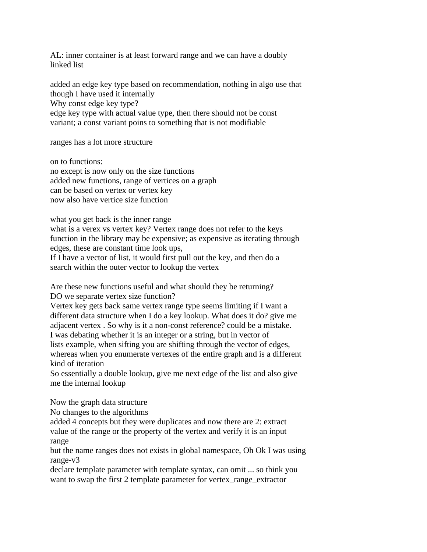AL: inner container is at least forward range and we can have a doubly linked list

added an edge key type based on recommendation, nothing in algo use that though I have used it internally Why const edge key type? edge key type with actual value type, then there should not be const variant; a const variant poins to something that is not modifiable

ranges has a lot more structure

on to functions: no except is now only on the size functions added new functions, range of vertices on a graph can be based on vertex or vertex key now also have vertice size function

what you get back is the inner range

what is a verex vs vertex key? Vertex range does not refer to the keys function in the library may be expensive; as expensive as iterating through edges, these are constant time look ups,

If I have a vector of list, it would first pull out the key, and then do a search within the outer vector to lookup the vertex

Are these new functions useful and what should they be returning? DO we separate vertex size function?

Vertex key gets back same vertex range type seems limiting if I want a different data structure when I do a key lookup. What does it do? give me adjacent vertex . So why is it a non-const reference? could be a mistake. I was debating whether it is an integer or a string, but in vector of lists example, when sifting you are shifting through the vector of edges, whereas when you enumerate vertexes of the entire graph and is a different

kind of iteration

So essentially a double lookup, give me next edge of the list and also give me the internal lookup

Now the graph data structure

No changes to the algorithms

added 4 concepts but they were duplicates and now there are 2: extract value of the range or the property of the vertex and verify it is an input range

but the name ranges does not exists in global namespace, Oh Ok I was using range-v3

declare template parameter with template syntax, can omit ... so think you want to swap the first 2 template parameter for vertex\_range\_extractor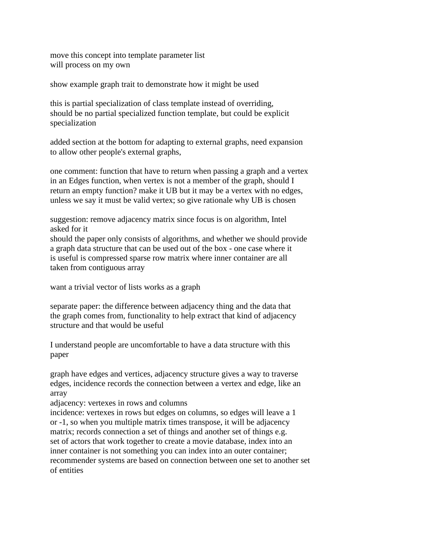move this concept into template parameter list will process on my own

show example graph trait to demonstrate how it might be used

this is partial specialization of class template instead of overriding, should be no partial specialized function template, but could be explicit specialization

added section at the bottom for adapting to external graphs, need expansion to allow other people's external graphs,

one comment: function that have to return when passing a graph and a vertex in an Edges function, when vertex is not a member of the graph, should I return an empty function? make it UB but it may be a vertex with no edges, unless we say it must be valid vertex; so give rationale why UB is chosen

suggestion: remove adjacency matrix since focus is on algorithm, Intel asked for it

should the paper only consists of algorithms, and whether we should provide a graph data structure that can be used out of the box - one case where it is useful is compressed sparse row matrix where inner container are all taken from contiguous array

want a trivial vector of lists works as a graph

separate paper: the difference between adjacency thing and the data that the graph comes from, functionality to help extract that kind of adjacency structure and that would be useful

I understand people are uncomfortable to have a data structure with this paper

graph have edges and vertices, adjacency structure gives a way to traverse edges, incidence records the connection between a vertex and edge, like an array

adjacency: vertexes in rows and columns

incidence: vertexes in rows but edges on columns, so edges will leave a 1 or -1, so when you multiple matrix times transpose, it will be adjacency matrix; records connection a set of things and another set of things e.g. set of actors that work together to create a movie database, index into an inner container is not something you can index into an outer container; recommender systems are based on connection between one set to another set of entities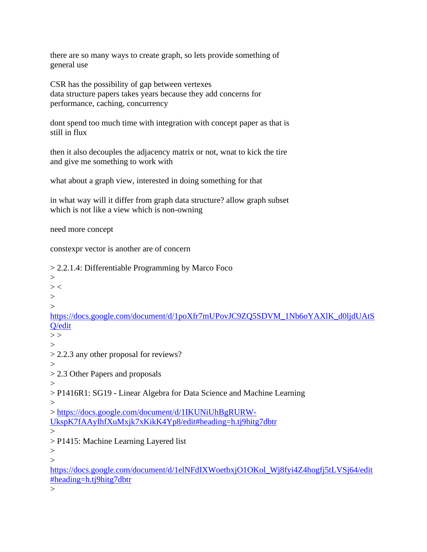there are so many ways to create graph, so lets provide something of general use

CSR has the possibility of gap between vertexes data structure papers takes years because they add concerns for performance, caching, concurrency

dont spend too much time with integration with concept paper as that is still in flux

then it also decouples the adjacency matrix or not, wnat to kick the tire and give me something to work with

what about a graph view, interested in doing something for that

in what way will it differ from graph data structure? allow graph subset which is not like a view which is non-owning

need more concept

constexpr vector is another are of concern

> 2.2.1.4: Differentiable Programming by Marco Foco

>  $>$  <  $\geq$  $\rightarrow$ [https://docs.google.com/document/d/1poXfr7mUPovJC9ZQ5SDVM\\_1Nb6oYAXlK\\_d0ljdUAtS](https://docs.google.com/document/d/1poXfr7mUPovJC9ZQ5SDVM_1Nb6oYAXlK_d0ljdUAtSQ/edit) [Q/edit](https://docs.google.com/document/d/1poXfr7mUPovJC9ZQ5SDVM_1Nb6oYAXlK_d0ljdUAtSQ/edit)  $>$  $\rightarrow$ > 2.2.3 any other proposal for reviews? > > 2.3 Other Papers and proposals  $>$ > P1416R1: SG19 - Linear Algebra for Data Science and Machine Learning  $\geq$ > [https://docs.google.com/document/d/1IKUNiUhBgRURW-](https://docs.google.com/document/d/1IKUNiUhBgRURW-UkspK7fAAyIhfXuMxjk7xKikK4Yp8/edit#heading=h.tj9hitg7dbtr)[UkspK7fAAyIhfXuMxjk7xKikK4Yp8/edit#heading=h.tj9hitg7dbtr](https://docs.google.com/document/d/1IKUNiUhBgRURW-UkspK7fAAyIhfXuMxjk7xKikK4Yp8/edit#heading=h.tj9hitg7dbtr)  $\geq$ > P1415: Machine Learning Layered list  $>$  $\geq$ [https://docs.google.com/document/d/1elNFdIXWoetbxjO1OKol\\_Wj8fyi4Z4hogfj5tLVSj64/edit](https://docs.google.com/document/d/1elNFdIXWoetbxjO1OKol_Wj8fyi4Z4hogfj5tLVSj64/edit#heading=h.tj9hitg7dbtr) [#heading=h.tj9hitg7dbtr](https://docs.google.com/document/d/1elNFdIXWoetbxjO1OKol_Wj8fyi4Z4hogfj5tLVSj64/edit#heading=h.tj9hitg7dbtr)

 $\geq$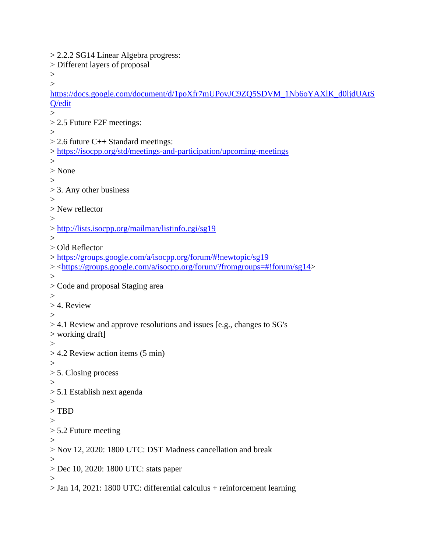> 2.2.2 SG14 Linear Algebra progress: > Different layers of proposal  $>$  $\geq$ [https://docs.google.com/document/d/1poXfr7mUPovJC9ZQ5SDVM\\_1Nb6oYAXlK\\_d0ljdUAtS](https://docs.google.com/document/d/1poXfr7mUPovJC9ZQ5SDVM_1Nb6oYAXlK_d0ljdUAtSQ/edit) [Q/edit](https://docs.google.com/document/d/1poXfr7mUPovJC9ZQ5SDVM_1Nb6oYAXlK_d0ljdUAtSQ/edit)  $\rightarrow$ > 2.5 Future F2F meetings:  $>$  $> 2.6$  future C++ Standard meetings: ><https://isocpp.org/std/meetings-and-participation/upcoming-meetings>  $\rightarrow$ > None  $\rightarrow$ > 3. Any other business  $>$ > New reflector  $>$ ><http://lists.isocpp.org/mailman/listinfo.cgi/sg19>  $>$ > Old Reflector ><https://groups.google.com/a/isocpp.org/forum/#!newtopic/sg19> > [<https://groups.google.com/a/isocpp.org/forum/?fromgroups=#!forum/sg14>](https://groups.google.com/a/isocpp.org/forum/?fromgroups=#!forum/sg14)  $>$ > Code and proposal Staging area  $\geq$ > 4. Review  $\rightarrow$ > 4.1 Review and approve resolutions and issues [e.g., changes to SG's > working draft]  $>$ > 4.2 Review action items (5 min)  $\geq$ > 5. Closing process  $>$ > 5.1 Establish next agenda  $\rightarrow$ > TBD > > 5.2 Future meeting  $\geq$ > Nov 12, 2020: 1800 UTC: DST Madness cancellation and break  $\geq$ > Dec 10, 2020: 1800 UTC: stats paper  $\geq$ > Jan 14, 2021: 1800 UTC: differential calculus + reinforcement learning